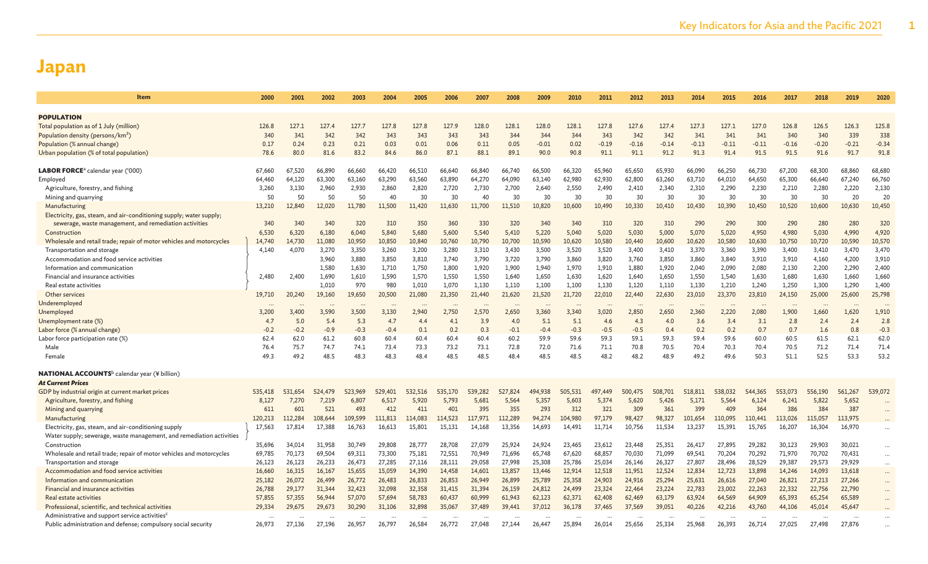| Item                                                                     | 2000    | 2001    | 2002    | 2003    | 2004    | 2005    | 2006    | 2007    | 2008    | 2009    | 2010    | 2011    | 2012    | 2013    | 2014    | 2015    | 2016    | 2017    | 2018    | 2019    | 2020     |
|--------------------------------------------------------------------------|---------|---------|---------|---------|---------|---------|---------|---------|---------|---------|---------|---------|---------|---------|---------|---------|---------|---------|---------|---------|----------|
|                                                                          |         |         |         |         |         |         |         |         |         |         |         |         |         |         |         |         |         |         |         |         |          |
| <b>POPULATION</b>                                                        |         |         |         |         |         |         |         |         |         |         |         |         |         |         |         |         |         |         |         |         |          |
| Total population as of 1 July (million)                                  | 126.8   | 127.1   | 127.4   | 127.7   | 127.8   | 127.8   | 127.9   | 128.0   | 128.1   | 128.0   | 128.1   | 127.8   | 127.6   | 127.4   | 127.3   | 127.1   | 127.0   | 126.8   | 126.5   | 126.3   | 125.8    |
| Population density (persons/km <sup>2</sup> )                            | 340     | 341     | 342     | 342     | 343     | 343     | 343     | 343     | 344     | 344     | 344     | 343     | 342     | 342     | 341     | 341     | 341     | 340     | 340     | 339     | 338      |
| Population (% annual change)                                             | 0.17    | 0.24    | 0.23    | 0.21    | 0.03    | 0.01    | 0.06    | 0.11    | 0.05    | $-0.01$ | 0.02    | $-0.19$ | $-0.16$ | $-0.14$ | $-0.13$ | $-0.11$ | $-0.11$ | $-0.16$ | $-0.20$ | $-0.21$ | $-0.34$  |
| Urban population (% of total population)                                 | 78.6    | 80.0    | 81.6    | 83.2    | 84.6    | 86.0    | 87.1    | 88.1    | 89.1    | 90.0    | 90.8    | 91.1    | 91.1    | 91.2    | 91.3    | 91.4    | 91.5    | 91.5    | 91.6    | 91.7    | 91.8     |
| <b>LABOR FORCE</b> <sup>a</sup> calendar year ('000)                     | 67,660  | 67,520  | 66,890  | 66,660  | 66,420  | 66,510  | 66,640  | 66,840  | 66,740  | 66,500  | 66,320  | 65,960  | 65,650  | 65,930  | 66,090  | 66,250  | 66,730  | 67,200  | 68,300  | 68,860  | 68,680   |
| Employed                                                                 | 64,460  | 64,120  | 63,300  | 63,160  | 63,290  | 63,560  | 63,890  | 64,270  | 64,090  | 63,140  | 62,980  | 62,930  | 62,800  | 63,260  | 63,710  | 64,010  | 64,650  | 65,300  | 66,640  | 67,240  | 66,760   |
| Agriculture, forestry, and fishing                                       | 3,260   | 3,130   | 2,960   | 2,930   | 2,860   | 2,820   | 2,720   | 2,730   | 2,700   | 2,640   | 2,550   | 2,490   | 2,410   | 2,340   | 2,310   | 2,290   | 2,230   | 2,210   | 2,280   | 2,220   | 2,130    |
| Mining and quarrying                                                     | 50      | 50      | 50      | 50      | 40      | 30      | 30      | 4(      | 30      | 30      | 30      | 30      | 30      | 30      | 30      | 30      | 30      | 30      | 30      | 20      | 20       |
| Manufacturing                                                            | 13,210  | 12,840  | 12,020  | 11,780  | 11,500  | 11,420  | 11,630  | 11,700  | 11,510  | 10,820  | 10,600  | 10,490  | 10,330  | 10,410  | 10,430  | 10,390  | 10,450  | 10,520  | 10,600  | 10,630  | 10,450   |
| Electricity, gas, steam, and air-conditioning supply; water supply;      |         |         |         |         |         |         |         |         |         |         |         |         |         |         |         |         |         |         |         |         |          |
| sewerage, waste management, and remediation activities                   | 340     | 340     | 340     | 320     | 310     | 350     | 360     | 330     | 320     | 340     | 340     | 310     | 320     | 310     | 290     | 290     | 300     | 290     | 280     | 280     | 320      |
| Construction                                                             | 6,530   | 6,320   | 6,180   | 6,040   | 5,840   | 5,680   | 5,600   | 5,540   | 5,410   | 5,220   | 5,040   | 5,020   | 5,030   | 5,000   | 5,070   | 5,020   | 4.950   | 4.980   | 5,030   | 4,990   | 4,920    |
| Wholesale and retail trade; repair of motor vehicles and motorcycles     | 14,740  | 14,730  | 11,080  | 10,950  | 10,850  | 10,840  | 10,760  | 10,790  | 10,700  | 10,590  | 10,620  | 10,580  | 10,440  | 10,600  | 10,620  | 10,580  | 10,630  | 10,750  | 10,720  | 10,590  | 10,570   |
| Transportation and storage                                               | 4,140   | 4,070   | 3,270   | 3,350   | 3,260   | 3,200   | 3,280   | 3,310   | 3,430   | 3,500   | 3,520   | 3,520   | 3,400   | 3,410   | 3,370   | 3,360   | 3,390   | 3,400   | 3,410   | 3,470   | 3,470    |
| Accommodation and food service activities                                |         |         | 3,960   | 3,880   | 3,850   | 3,810   | 3,740   | 3,790   | 3,720   | 3,790   | 3,860   | 3,820   | 3,760   | 3,850   | 3,860   | 3,840   | 3,910   | 3,910   | 4,160   | 4,200   | 3,910    |
| Information and communication                                            |         |         | 1,580   | 1,630   | 1,710   | 1,750   | 1,800   | 1,920   | 1,900   | 1,940   | 1,970   | 1,910   | 1,880   | 1,920   | 2,040   | 2,090   | 2,080   | 2,130   | 2,200   | 2,290   | 2,400    |
| Financial and insurance activities                                       | 2,480   | 2.400   | 1,690   | 1,610   | 1,590   | 1,570   | 1,550   | 1,550   | 1,640   | 1,650   | 1,630   | 1,620   | 1,640   | 1,650   | 1,550   | 1,540   | 1,630   | 1,680   | 1,630   | 1,660   | 1,660    |
| Real estate activities                                                   |         |         | 1,010   | 970     | 980     | 1,010   | 1,070   | 1,130   | 1,110   | 1,100   | 1,100   | 1,130   | 1,120   | 1,110   | 1,130   | 1,210   | 1,240   | 1,250   | 1,300   | 1,290   | 1,400    |
| Other services                                                           | 19,710  | 20,240  | 19,160  | 19,650  | 20,500  | 21,080  | 21,350  | 21,440  | 21,620  | 21,520  | 21,720  | 22,010  | 22,440  | 22,630  | 23,010  | 23,370  | 23,810  | 24,150  | 25,000  | 25,600  | 25,798   |
| Underemployed                                                            |         |         |         |         |         |         |         |         |         |         |         |         |         |         |         |         |         |         |         |         |          |
| Unemployed                                                               | 3,200   | 3,400   | 3,590   | 3,500   | 3.130   | 2,940   | 2.750   | 2,570   | 2,650   | 3,360   | 3,340   | 3,020   | 2,850   | 2,650   | 2,360   | 2,220   | 2,080   | 1.900   | 1,660   | 1,620   | 1,910    |
| Unemployment rate (%)                                                    | 4.7     | 5.0     | 5.4     | 5.3     | 4.7     | 4.4     | 4.1     | 3.9     | 4.0     | 5.1     | 5.1     | 4.6     | 4.3     | 4.0     | 3.6     | 3.4     | 3.1     | 2.8     | 2.4     | 2.4     | 2.8      |
| Labor force (% annual change)                                            | $-0.2$  | $-0.2$  | $-0.9$  | $-0.3$  | $-0.4$  | 0.1     | 0.2     | 0.3     | $-0.1$  | $-0.4$  | $-0.3$  | $-0.5$  | $-0.5$  | 0.4     | 0.2     | 0.2     | 0.7     | 0.7     | 1.6     | 0.8     | $-0.3$   |
| Labor force participation rate (%)                                       | 62.4    | 62.0    | 61.2    | 60.8    | 60.4    | 60.4    | 60.4    | 60.4    | 60.2    | 59.9    | 59.6    | 59.3    | 59.1    | 59.3    | 59.4    | 59.6    | 60.0    | 60.5    | 61.5    | 62.1    | 62.0     |
| Male                                                                     | 76.4    | 75.7    | 74.7    | 74.1    | 73.4    | 73.3    | 73.2    | 73.1    | 72.8    | 72.0    | 71.6    | 71.1    | 70.8    | 70.5    | 70.4    | 70.3    | 70.4    | 70.5    | 71.2    | 71.4    | 71.4     |
| Female                                                                   | 49.3    | 49.2    | 48.5    | 48.3    | 48.3    | 48.4    | 48.5    | 48.5    | 48.4    | 48.5    | 48.5    | 48.2    | 48.2    | 48.9    | 49.2    | 49.6    | 50.3    | 51.1    | 52.5    | 53.3    | 53.2     |
| $\mathsf{NATIONAL}\,\mathsf{ACCOUNTS}^{\rm b}$ calendar year (¥ billion) |         |         |         |         |         |         |         |         |         |         |         |         |         |         |         |         |         |         |         |         |          |
| <b>At Current Prices</b>                                                 |         |         |         |         |         |         |         |         |         |         |         |         |         |         |         |         |         |         |         |         |          |
| GDP by industrial origin at current market prices                        | 535.418 | 531,654 | 524,479 | 523,969 | 529,401 | 532,516 | 535,170 | 539,282 | 527,824 | 494,938 | 505,531 | 497,449 | 500,475 | 508,701 | 518,811 | 538,032 | 544,365 | 553,073 | 556,190 | 561,267 | 539,072  |
| Agriculture, forestry, and fishing                                       | 8.127   | 7,270   | 7.219   | 6.807   | 6,517   | 5,920   | 5.793   | 5.681   | 5,564   | 5.357   | 5,603   | 5.374   | 5,620   | 5.426   | 5.171   | 5,564   | 6,124   | 6,241   | 5,822   | 5,652   | $\cdots$ |
| Mining and quarrying                                                     | 611     | 601     | 521     | 493     | 412     | 411     | 401     | 395     | 355     | 293     | 312     | 321     | 309     | 361     | 399     | 409     | 364     | 386     | 384     | 387     |          |
| Manufacturing                                                            | 120,213 | 112,284 | 108,644 | 109.599 | 111,813 | 114,083 | 114,523 | 117,971 | 112.289 | 94.274  | 104,980 | 97,179  | 98,427  | 98,327  | 101,654 | 110,095 | 110,441 | 113,026 | 115,057 | 113,975 |          |
| Electricity, gas, steam, and air-conditioning supply                     | 17,563  | 17,814  | 17.388  | 16,763  | 16,613  | 15,801  | 15,131  | 14,168  | 13,356  | 14,693  | 14.491  | 11,714  | 10,756  | 11,534  | 13,237  | 15,391  | 15,765  | 16,207  | 16,304  | 16,970  | $\cdots$ |
| Water supply; sewerage, waste management, and remediation activities     |         |         |         |         |         |         |         |         |         |         |         |         |         |         |         |         |         |         |         |         |          |
| Construction                                                             | 35,696  | 34,014  | 31,958  | 30,749  | 29,808  | 28,777  | 28,708  | 27,079  | 25,924  | 24,924  | 23,465  | 23,612  | 23,448  | 25,351  | 26,417  | 27,895  | 29,282  | 30,123  | 29,903  | 30,021  | $\cdots$ |
| Wholesale and retail trade; repair of motor vehicles and motorcycles     | 69,785  | 70,173  | 69,504  | 69,311  | 73,300  | 75,181  | 72,551  | 70,949  | 71,696  | 65,748  | 67,620  | 68,857  | 70,030  | 71,099  | 69,541  | 70,204  | 70,292  | 71,970  | 70,702  | 70,431  | $\cdots$ |
| Transportation and storage                                               | 26,123  | 26,123  | 26,233  | 26,473  | 27,285  | 27,116  | 28,111  | 29,058  | 27,998  | 25,308  | 25,786  | 25,034  | 26,146  | 26,327  | 27,807  | 28,496  | 28,529  | 29,387  | 29,573  | 29,929  | $\cdots$ |
| Accommodation and food service activities                                | 16,660  | 16,315  | 16,167  | 15.655  | 15,059  | 14,390  | 14,458  | 14,601  | 13,857  | 13,446  | 12.914  | 12.518  | 11.951  | 12,524  | 12,834  | 12,723  | 13,898  | 14,246  | 14,093  | 13,618  | $\cdots$ |
| Information and communication                                            | 25,182  | 26,072  | 26,499  | 26,772  | 26,483  | 26,833  | 26,853  | 26,949  | 26,899  | 25,789  | 25,358  | 24,903  | 24,916  | 25,294  | 25,631  | 26,616  | 27,040  | 26,821  | 27,213  | 27,266  | $\cdots$ |
| Financial and insurance activities                                       | 26,788  | 29,177  | 31,344  | 32,423  | 32,098  | 32,358  | 31,415  | 31,394  | 26,159  | 24,812  | 24,499  | 23,324  | 22,464  | 23,224  | 22,783  | 23,002  | 22,263  | 22,332  | 22,756  | 22,790  | $\cdots$ |
| Real estate activities                                                   | 57,855  | 57,355  | 56,944  | 57,070  | 57,694  | 58,783  | 60,437  | 60,999  | 61,943  | 62,123  | 62,371  | 62,408  | 62,469  | 63,179  | 63,924  | 64,569  | 64,909  | 65,393  | 65,254  | 65,589  | $\cdots$ |
| Professional, scientific, and technical activities                       | 29,334  | 29,675  | 29,673  | 30,290  | 31,106  | 32,898  | 35,067  | 37,489  | 39,441  | 37,012  | 36,178  | 37,465  | 37,569  | 39,051  | 40,226  | 42,216  | 43,760  | 44,106  | 45,014  | 45,647  |          |
| Administrative and support service activities <sup>c</sup>               |         |         |         |         |         |         |         |         |         |         |         |         |         |         |         |         |         |         |         |         |          |
| Public administration and defense; compulsory social security            | 26.973  | 27.136  | 27.196  | 26,957  | 26,797  | 26,584  | 26,772  | 27,048  | 27.144  | 26,447  | 25,894  | 26.014  | 25.656  | 25,334  | 25,968  | 26,393  | 26,714  | 27,025  | 27.498  | 27,876  |          |
|                                                                          |         |         |         |         |         |         |         |         |         |         |         |         |         |         |         |         |         |         |         |         |          |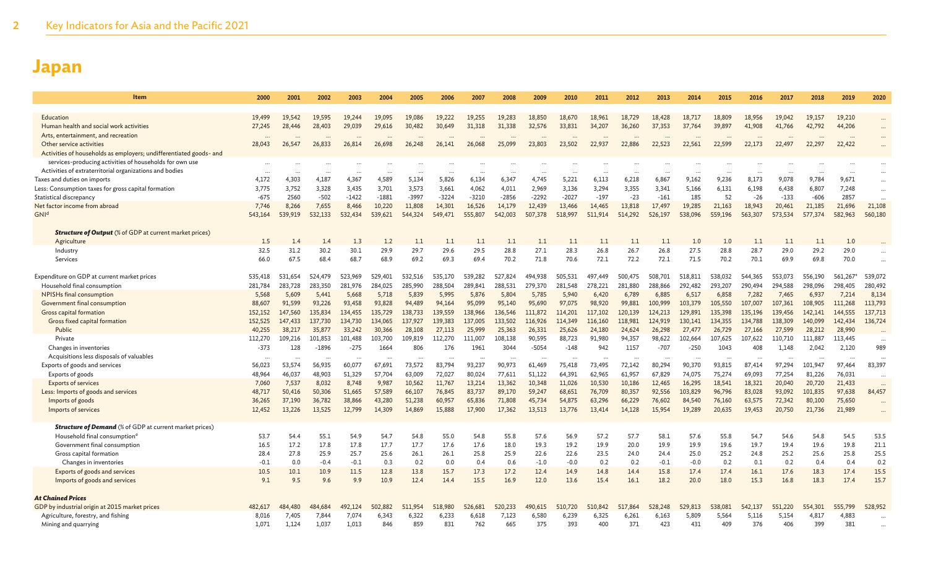| Item                                                               | 2000                 | 2001    | 2002                 | 2003                 | 2004    | 2005    | 2006    | 2007    | 2008    | 2009      | 2010    | 2011                 | 2012    | 2013    | 2014    | 2015                 | 2016    | 2017    | 2018    | 2019    | 2020                     |
|--------------------------------------------------------------------|----------------------|---------|----------------------|----------------------|---------|---------|---------|---------|---------|-----------|---------|----------------------|---------|---------|---------|----------------------|---------|---------|---------|---------|--------------------------|
|                                                                    |                      |         |                      |                      |         |         |         |         |         |           |         |                      |         |         |         |                      |         |         |         |         |                          |
| Education                                                          | 19.499               | 19.542  | 19.595               | 19,244               | 19,095  | 19.086  | 19,222  | 19.255  | 19.283  | 18,850    | 18,670  | 18.961               | 18,729  | 18,428  | 18,717  | 18,809               | 18.956  | 19,042  | 19,157  | 19,210  |                          |
| Human health and social work activities                            | 27,245               | 28,446  | 28,403               | 29,039               | 29,616  | 30,482  | 30,649  | 31,318  | 31,338  | 32,576    | 33,831  | 34,207               | 36,260  | 37,353  | 37,764  | 39,897               | 41,908  | 41,766  | 42,792  | 44,206  |                          |
| Arts, entertainment, and recreation                                |                      |         |                      |                      |         |         |         |         |         |           |         |                      |         |         |         |                      |         |         |         |         |                          |
| Other service activities                                           | 28,043               | 26,547  | 26,833               | 26,814               | 26,698  | 26,248  | 26,141  | 26,068  | 25,099  | 23,803    | 23,502  | 22,937               | 22,886  | 22,523  | 22,561  | 22,599               | 22,173  | 22,497  | 22,297  | 22,422  | $\cdots$                 |
| Activities of households as employers; undifferentiated goods- and |                      |         |                      |                      |         |         |         |         |         |           |         |                      |         |         |         |                      |         |         |         |         |                          |
| services-producing activities of households for own use            |                      |         |                      |                      |         |         |         |         |         |           |         |                      |         |         |         |                      |         |         |         |         |                          |
| Activities of extraterritorial organizations and bodies            | $\ddots$             |         |                      |                      |         |         |         |         |         |           |         |                      |         |         |         |                      |         |         |         |         |                          |
| Taxes and duties on imports                                        | 4.172                | 4,303   | 4,187                | 4,367                | 4,589   | 5,134   | 5,826   | 6,134   | 6,347   | 4,745     | 5,221   | 6,113                | 6,218   | 6,867   | 9,162   | 9,236                | 8,173   | 9,078   | 9,784   | 9,671   | $\cdots$                 |
| Less: Consumption taxes for gross capital formation                | 3,775                | 3,752   | 3,328                | 3,435                | 3,701   | 3,573   | 3,661   | 4,062   | 4,011   | 2,969     | 3,136   | 3,294                | 3,355   | 3,341   | 5,166   | 6,131                | 6,198   | 6,438   | 6,807   | 7,248   | $\cdots$                 |
| Statistical discrepancy                                            | $-675$               | 2560    | $-502$               | $-1422$              | $-1881$ | $-3997$ | $-3224$ | $-3210$ | $-2856$ | $-2292$   | $-2027$ | $-197$               | $-23$   | $-161$  | 185     | 52                   | $-26$   | $-133$  | $-606$  | 2857    | $\ddotsc$                |
| Net factor income from abroad                                      | 7,746                | 8,266   | 7,655                | 8,466                | 10,220  | 11,808  | 14,301  | 16,526  | 14,179  | 12,439    | 13,466  | 14,465               | 13,818  | 17,497  | 19,285  | 21,163               | 18,943  | 20,461  | 21,185  | 21,696  | 21,108                   |
| GNI <sup>d</sup>                                                   | 543,164              | 539,919 | 532.133              | 532,434              | 539.621 | 544,324 | 549,471 | 555,807 | 542,003 | 507,378   | 518,997 | 511.914              | 514,292 | 526,197 | 538,096 | 559,196              | 563,307 | 573.534 | 577,374 | 582,963 | 560,180                  |
| <b>Structure of Output</b> (% of GDP at current market prices)     |                      |         |                      |                      |         |         |         |         |         |           |         |                      |         |         |         |                      |         |         |         |         |                          |
| Agriculture                                                        | 1.5                  | 1.4     | 1.4                  | 1.3                  | 1.2     | 1.1     | 1.1     | 1.1     | 1.1     | 1.1       | 1.1     | 1.1                  | 1.1     | 1.1     | 1.0     | 1.0                  | 1.1     | 1.1     | 1.1     | 1.0     |                          |
| Industry                                                           | 32.5                 | 31.2    | 30.2                 | 30.1                 | 29.9    | 29.7    | 29.6    | 29.5    | 28.8    | 27.1      | 28.3    | 26.8                 | 26.7    | 26.8    | 27.5    | 28.8                 | 28.7    | 29.0    | 29.2    | 29.0    |                          |
| Services                                                           | 66.0                 | 67.5    | 68.4                 | 68.7                 | 68.9    | 69.2    | 69.3    | 69.4    | 70.2    | 71.8      | 70.6    | 72.1                 | 72.2    | 72.1    | 71.5    | 70.2                 | 70.1    | 69.9    | 69.8    | 70.0    |                          |
|                                                                    |                      |         |                      |                      |         |         |         |         |         |           |         |                      |         |         |         |                      |         |         |         |         |                          |
| Expenditure on GDP at current market prices                        | 535,418              | 531,654 | 524,479              | 523,969              | 529,401 | 532,516 | 535,170 | 539,282 | 527,824 | 494,938   | 505,531 | 497,449              | 500,475 | 508,701 | 518,811 | 538,032              | 544,365 | 553,073 | 556,190 | 561,267 | 539,072                  |
| Household final consumption                                        | 281,784              | 283,728 | 283,350              | 281,976              | 284,025 | 285,990 | 288,504 | 289,841 | 288,531 | 279,370   | 281,548 | 278,221              | 281,880 | 288,866 | 292,482 | 293,207              | 290,494 | 294,588 | 298,096 | 298,405 | 280,492                  |
| NPISHs final consumption                                           | 5,568                | 5,609   | 5,441                | 5,668                | 5,718   | 5,839   | 5,995   | 5,876   | 5,804   | 5,785     | 5,940   | 6,420                | 6,789   | 6,885   | 6,517   | 6,858                | 7,282   | 7,465   | 6,937   | 7,214   | 8,134                    |
| Government final consumption                                       | 88,607               | 91,599  | 93,226               | 93,458               | 93,828  | 94,489  | 94,164  | 95,099  | 95,140  | 95,690    | 97,075  | 98,920               | 99,881  | 100,999 | 103,379 | 105,550              | 107,007 | 107,361 | 108,905 | 111,268 | 113,793                  |
| Gross capital formation                                            | 152,152              | 147,560 | 135,834              | 134,455              | 135,729 | 138,733 | 139,559 | 138,966 | 136,546 | 111,872   | 114,201 | 117,102              | 120,139 | 124,213 | 129,891 | 135,398              | 135,196 | 139,456 | 142,141 | 144,555 | 137,713                  |
| Gross fixed capital formation                                      | 152,525              | 147,433 | 137,730              | 134,730              | 134,065 | 137,927 | 139,383 | 137,005 | 133,502 | 116,926   | 114,349 | 116,160              | 118,981 | 124,919 | 130,141 | 134,355              | 134,788 | 138,309 | 140,099 | 142,434 | 136,724                  |
| Public                                                             | 40,255               | 38,217  | 35,877               | 33,242               | 30,366  | 28,108  | 27,113  | 25,999  | 25,363  | 26,331    | 25,626  | 24,180               | 24,624  | 26,298  | 27,477  | 26,729               | 27,166  | 27,599  | 28,212  | 28,990  |                          |
| Private                                                            | 112,270              | 109.216 | 101,853              | 101,488              | 103,700 | 109,819 | 112,270 | 111.007 | 108.138 | 90.595    | 88,723  | 91,980               | 94,357  | 98,622  | 102,664 | 107,625              | 107,622 | 110.710 | 111,887 | 113,445 | .                        |
| Changes in inventories                                             | $-373$               | 128     | $-1896$              | $-275$               | 1664    | 806     | 176     | 1961    | 3044    | $-5054$   | $-148$  | 942                  | 1157    | $-707$  | $-250$  | 1043                 | 408     | 1,148   | 2,042   | 2,120   | 989                      |
| Acquisitions less disposals of valuables                           | $\ddot{\phantom{a}}$ |         | $\ddot{\phantom{a}}$ | $\ddot{\phantom{a}}$ |         |         |         |         |         | $\ddotsc$ |         | $\ddot{\phantom{a}}$ |         |         |         | $\ddot{\phantom{a}}$ |         |         |         |         | $\overline{\phantom{a}}$ |
| Exports of goods and services                                      | 56.023               | 53,574  | 56.935               | 60,077               | 67.691  | 73.572  | 83,794  | 93,237  | 90,973  | 61,469    | 75,418  | 73,495               | 72,142  | 80.294  | 90,370  | 93,815               | 87,414  | 97,294  | 101,947 | 97,464  | 83,397                   |
| Exports of goods                                                   | 48,964               | 46,037  | 48,903               | 51,329               | 57,704  | 63,009  | 72,027  | 80,024  | 77,611  | 51,122    | 64,391  | 62,965               | 61,957  | 67,829  | 74,075  | 75,274               | 69,093  | 77,254  | 81,226  | 76,031  |                          |
| <b>Exports of services</b>                                         | 7,060                | 7,537   | 8,032                | 8,748                | 9,987   | 10,562  | 11,767  | 13,214  | 13,362  | 10,348    | 11,026  | 10,530               | 10,186  | 12,465  | 16,295  | 18,541               | 18,321  | 20,040  | 20,720  | 21,433  | $\cdots$                 |
| Less: Imports of goods and services                                | 48,717               | 50,416  | 50,306               | 51,665               | 57,589  | 66,107  | 76,845  | 83,737  | 89,170  | 59,247    | 68,651  | 76,709               | 80,357  | 92,556  | 103,829 | 96,796               | 83,028  | 93,092  | 101,835 | 97,638  | 84,457                   |
| Imports of goods                                                   | 36,265               | 37,190  | 36,782               | 38,866               | 43,280  | 51,238  | 60,957  | 65,836  | 71,808  | 45,734    | 54,875  | 63,296               | 66,229  | 76,602  | 84,540  | 76,160               | 63,575  | 72,342  | 80,100  | 75,650  |                          |
| Imports of services                                                | 12,452               | 13,226  | 13,525               | 12,799               | 14,309  | 14,869  | 15,888  | 17,900  | 17,362  | 13,513    | 13,776  | 13,414               | 14,128  | 15,954  | 19,289  | 20,635               | 19,453  | 20,750  | 21,736  | 21,989  |                          |
|                                                                    |                      |         |                      |                      |         |         |         |         |         |           |         |                      |         |         |         |                      |         |         |         |         |                          |
| <b>Structure of Demand</b> (% of GDP at current market prices)     |                      |         |                      |                      |         |         |         |         |         |           |         |                      |         |         |         |                      |         |         |         |         |                          |
| Household final consumption <sup>e</sup>                           | 53.7                 | 54.4    | 55.1                 | 54.9                 | 54.7    | 54.8    | 55.0    | 54.8    | 55.8    | 57.6      | 56.9    | 57.2                 | 57.7    | 58.1    | 57.6    | 55.8                 | 54.7    | 54.6    | 54.8    | 54.5    | 53.5                     |
| Government final consumption                                       | 16.5                 | 17.2    | 17.8                 | 17.8                 | 17.7    | 17.7    | 17.6    | 17.6    | 18.0    | 19.3      | 19.2    | 19.9                 | 20.0    | 19.9    | 19.9    | 19.6                 | 19.7    | 19.4    | 19.6    | 19.8    | 21.1                     |
| Gross capital formation                                            | 28.4                 | 27.8    | 25.9                 | 25.7                 | 25.6    | 26.1    | 26.1    | 25.8    | 25.9    | 22.6      | 22.6    | 23.5                 | 24.0    | 24.4    | 25.0    | 25.2                 | 24.8    | 25.2    | 25.6    | 25.8    | 25.5                     |
| Changes in inventories                                             | $-0.1$               | 0.0     | $-0.4$               | $-0.1$               | 0.3     | 0.2     | 0.0     | 0.4     | 0.6     | $-1.0$    | $-0.0$  | 0.2                  | 0.2     | $-0.1$  | $-0.0$  | 0.2                  | 0.1     | 0.2     | 0.4     | 0.4     | 0.2                      |
| Exports of goods and services                                      | 10.5                 | 10.1    | 10.9                 | 11.5                 | 12.8    | 13.8    | 15.7    | 17.3    | 17.2    | 12.4      | 14.9    | 14.8                 | 14.4    | 15.8    | 17.4    | 17.4                 | 16.1    | 17.6    | 18.3    | 17.4    | 15.5                     |
| Imports of goods and services                                      | 9.1                  | 9.5     | 9.6                  | 9.9                  | 10.9    | 12.4    | 14.4    | 15.5    | 16.9    | 12.0      | 13.6    | 15.4                 | 16.1    | 18.2    | 20.0    | 18.0                 | 15.3    | 16.8    | 18.3    | 17.4    | 15.7                     |
|                                                                    |                      |         |                      |                      |         |         |         |         |         |           |         |                      |         |         |         |                      |         |         |         |         |                          |
| <b>At Chained Prices</b>                                           |                      |         |                      |                      |         |         |         |         |         |           |         |                      |         |         |         |                      |         |         |         |         |                          |
| GDP by industrial origin at 2015 market prices                     | 482,617              | 484.480 | 484,684              | 492,124              | 502.882 | 511.954 | 518,980 | 526,681 | 520,233 | 490.615   | 510,720 | 510,842              | 517,864 | 528,248 | 529,813 | 538,081              | 542,137 | 551,220 | 554,301 | 555,799 | 528,952                  |
| Agriculture, forestry, and fishing                                 | 8.016                | 7,405   | 7,844                | 7,074                | 6.343   | 6.322   | 6.233   | 6.618   | 7,123   | 6.580     | 6.239   | 6.325                | 6,261   | 6,163   | 5.809   | 5,564                | 5,116   | 5.154   | 4,817   | 4,883   |                          |
| Mining and quarrying                                               | 1,071                | 1,124   | 1,037                | 1,013                | 846     | 859     | 831     | 762     | 665     | 375       | 393     | 400                  | 371     | 423     | 431     | 409                  | 376     | 406     | 399     | 381     |                          |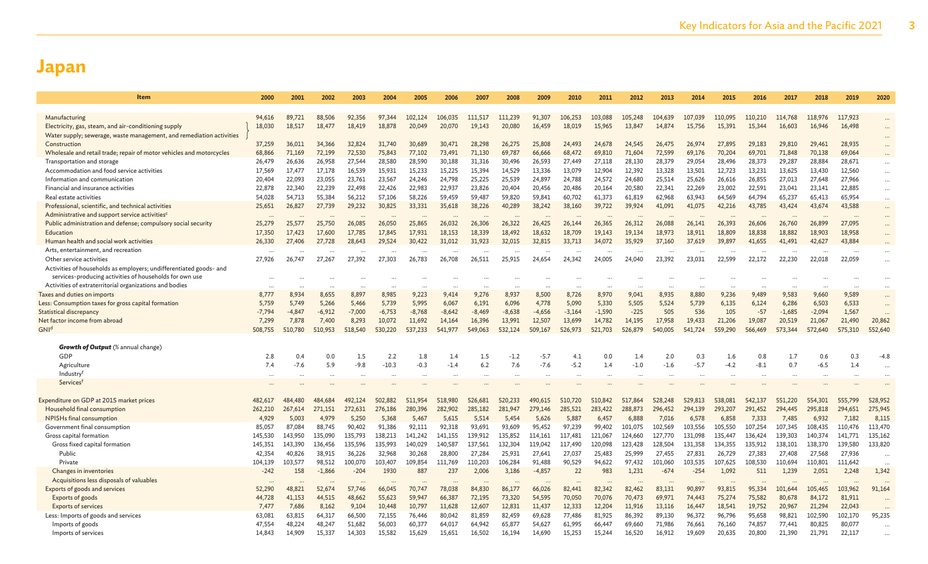| <b>Item</b>                                                                                                                 | 2000       | 2001          | 2002       | 2003                | 2004           | 2005          | 2006               | 2007       | 2008        | 2009                 | 2010          | 2011       | 2012          | 2013               | 2014          | 2015          | 2016               | 2017             | 2018                 | 2019               | 2020     |
|-----------------------------------------------------------------------------------------------------------------------------|------------|---------------|------------|---------------------|----------------|---------------|--------------------|------------|-------------|----------------------|---------------|------------|---------------|--------------------|---------------|---------------|--------------------|------------------|----------------------|--------------------|----------|
|                                                                                                                             |            |               |            |                     |                |               |                    |            |             |                      |               |            |               |                    |               |               |                    |                  |                      |                    |          |
| Manufacturing                                                                                                               | 94,616     | 89,721        | 88,506     | 92,356              | 97.344         | 102,124       | 106,035            | 111,517    | 111.239     | 91,307               | 106,253       | 103,088    | 105,248       | 104,639            | 107,039       | 110,095       | 110,210            | 114,768          | 118,976              | 117,923            |          |
| Electricity, gas, steam, and air-conditioning supply                                                                        | 18,030     | 18,517        | 18,477     | 18,419              | 18,878         | 20,049        | 20,070             | 19,143     | 20,080      | 16,459               | 18,019        | 15,965     | 13,847        | 14,874             | 15,756        | 15,391        | 15,344             | 16,603           | 16,946               | 16,498             | $\cdots$ |
| Water supply; sewerage, waste management, and remediation activities                                                        |            |               |            |                     |                |               |                    |            |             |                      |               |            |               |                    |               |               |                    |                  |                      |                    |          |
| Construction                                                                                                                | 37,259     | 36,011        | 34,366     | 32,824              | 31,740         | 30,689        | 30,471             | 28,298     | 26,275      | 25,808               | 24.493        | 24,678     | 24,545        | 26,475             | 26,974        | 27,895        | 29,183             | 29,810           | 29,461               | 28,935             | $\cdots$ |
| Wholesale and retail trade; repair of motor vehicles and motorcycles                                                        | 68,866     | 71,169        | 72,199     | 72,530              | 75,843         | 77,102        | 73,491             | 71,130     | 69,787      | 66,666               | 68,472        | 69,810     | 71,604        | 72,599             | 69,176        | 70,204        | 69,701             | 71,848           | 70,138               | 69,064             |          |
| Transportation and storage                                                                                                  | 26,479     | 26,636        | 26,958     | 27,544              | 28,580         | 28,590        | 30,188             | 31,316     | 30,496      | 26,593               | 27,449        | 27,118     | 28,130        | 28,379             | 29,054        | 28,496        | 28,373             | 29,287           | 28,884               | 28,671             | $\cdots$ |
| Accommodation and food service activities                                                                                   | 17,569     | 17,477        | 17,178     | 16,539              | 15,931         | 15,233        | 15,225             | 15,394     | 14,529      | 13,336               | 13,079        | 12,904     | 12,392        | 13,328             | 13,501        | 12,723        | 13,231             | 13,625           | 13,430               | 12,560             | $\cdots$ |
| Information and communication                                                                                               | 20,404     | 22,093        | 23,055     | 23,761              | 23,567         | 24,246        | 24,798             | 25,225     | 25,539      | 24,897               | 24,788        | 24,572     | 24,680        | 25,514             | 25,626        | 26,616        | 26,855             | 27,013           | 27,648               | 27,966             | $\cdots$ |
| Financial and insurance activities                                                                                          | 22,878     | 22,340        | 22,239     | 22,498              | 22,426         | 22,983        | 22,937             | 23,826     | 20,404      | 20,456               | 20,486        | 20,164     | 20,580        | 22,341             | 22,269        | 23,002        | 22.591             | 23,041           | 23,141               | 22,885             | $\cdots$ |
| Real estate activities                                                                                                      | 54,028     | 54,713        | 55,384     | 56,212              | 57,106         | 58,226        | 59,459             | 59,487     | 59,820      | 59,841               | 60,702        | 61,373     | 61,819        | 62.968             | 63,943        | 64,569        | 64.794             | 65,237           | 65,413               | 65,954             | $\cdots$ |
| Professional, scientific, and technical activities                                                                          | 25,651     | 26,827        | 27,739     | 29,232              | 30,825         | 33,331        | 35,618             | 38,226     | 40,289      | 38,242               | 38,160        | 39,722     | 39,924        | 41,091             | 41,075        | 42,216        | 43,785             | 43,424           | 43,674               | 43,588             | $\cdots$ |
| Administrative and support service activities <sup>c</sup><br>Public administration and defense; compulsory social security | <br>25,279 | 25,577        | 25,750     | $\ddotsc$<br>26,085 | 26,050         | 25,865        | $\ddots$<br>26,032 | 26,306     | 26,322      | 26,425               | 26,144        | 26,365     | 26,312        | $\ddots$<br>26,088 | 26,141        | 26,393        | $\cdots$<br>26,606 |                  | 26,899               | $\ddots$<br>27,095 | $\cdots$ |
| Education                                                                                                                   | 17,350     | 17,423        | 17,600     | 17,785              | 17,845         | 17,931        | 18,153             | 18,339     | 18,492      | 18,632               | 18,709        | 19,143     | 19,134        | 18,973             | 18,911        | 18,809        | 18,838             | 26,760<br>18,882 | 18,903               | 18,958             |          |
| Human health and social work activities                                                                                     | 26,330     | 27,406        | 27.728     | 28,643              | 29,524         | 30,422        | 31.012             | 31,923     | 32,015      | 32,815               | 33.713        | 34,072     | 35,929        | 37,160             | 37,619        | 39,897        | 41,655             | 41,491           | 42,627               | 43,884             |          |
| Arts, entertainment, and recreation                                                                                         |            |               |            |                     |                |               |                    |            |             |                      |               |            |               |                    |               |               |                    |                  |                      |                    |          |
| Other service activities                                                                                                    | 27,926     | 26,747        | 27,267     | 27,392              | 27,303         | 26,783        | 26,708             | 26,511     | 25,915      | 24,654               | 24,342        | 24,005     | 24,040        | 23,392             | 23,031        | 22,599        | $\cdots$<br>22,172 | 22,230           | 22,018               | 22,059             | $\cdots$ |
| Activities of households as employers; undifferentiated goods- and                                                          |            |               |            |                     |                |               |                    |            |             |                      |               |            |               |                    |               |               |                    |                  |                      |                    |          |
| services-producing activities of households for own use                                                                     | $\ddotsc$  |               |            |                     |                |               |                    |            |             |                      |               |            |               |                    |               |               |                    |                  |                      |                    |          |
| Activities of extraterritorial organizations and bodies                                                                     | $\ddotsc$  |               |            |                     |                |               | $\cdots$           |            | $\ddotsc$   | $\ddot{\phantom{a}}$ |               | $\cdots$   |               |                    |               |               | $\ddotsc$          |                  | $\ddot{\phantom{a}}$ |                    |          |
| Taxes and duties on imports                                                                                                 | 8,777      | 8.934         | 8,655      | 8,897               | 8,985          | 9,223         | 9,414              | 9,276      | 8,937       | 8,500                | 8,726         | 8,970      | 9,041         | 8,935              | 8,880         | 9,236         | 9,489              | 9,583            | 9,660                | 9,589              | $\cdots$ |
| Less: Consumption taxes for gross capital formation                                                                         | 5,759      | 5,749         | 5,266      | 5,466               | 5,739          | 5,995         | 6,067              | 6,191      | 6,096       | 4,778                | 5,090         | 5,330      | 5,505         | 5,524              | 5,739         | 6,135         | 6,124              | 6,286            | 6,503                | 6,533              |          |
| Statistical discrepancy                                                                                                     | $-7.794$   | $-4,847$      | $-6,912$   | $-7,000$            | $-6,753$       | $-8,768$      | $-8,642$           | $-8,469$   | $-8,638$    | $-4,656$             | $-3,164$      | $-1,590$   | $-225$        | 505                | 536           | 105           | $-57$              | $-1,685$         | $-2,094$             | 1,567              |          |
| Net factor income from abroad                                                                                               | 7,299      | 7,878         | 7,400      | 8,293               | 10,072         | 11,692        | 14,164             | 16,396     | 13,991      | 12,507               | 13,699        | 14,782     | 14,195        | 17,958             | 19,433        | 21,206        | 19,087             | 20,519           | 21,067               | 21,490             | 20,862   |
| GNI <sup>d</sup>                                                                                                            | 508,755    | 510,780       | 510,953    | 518,540             | 530,220        | 537,233       | 541,977            | 549,063    | 532,124     | 509,167              | 526,973       | 521,703    | 526,879       | 540,005            | 541,724       | 559,290       | 566,469            | 573,344          | 572,640              | 575,310            | 552,640  |
|                                                                                                                             |            |               |            |                     |                |               |                    |            |             |                      |               |            |               |                    |               |               |                    |                  |                      |                    |          |
| <b>Growth of Output</b> (% annual change)                                                                                   |            |               |            |                     |                |               |                    |            |             |                      |               |            |               |                    |               |               |                    |                  |                      |                    |          |
| GDP                                                                                                                         | 2.8<br>7.4 | 0.4<br>$-7.6$ | 0.0<br>5.9 | 1.5<br>$-9.8$       | 2.2<br>$-10.3$ | 1.8<br>$-0.3$ | 1.4<br>$-1.4$      | 1.5<br>6.2 | -1.2<br>7.6 | $-5.7$<br>$-7.6$     | 4.1<br>$-5.2$ | 0.0<br>1.4 | 1.4<br>$-1.0$ | 2.0<br>$-1.6$      | 0.3<br>$-5.7$ | 1.6<br>$-4.2$ | 0.8<br>$-8.1$      | 1.7<br>0.7       | 0.6<br>$-6.5$        | 0.3<br>1.4         | $-4.8$   |
| Agriculture<br>Industry <sup>f</sup>                                                                                        |            |               |            |                     |                |               |                    |            |             |                      |               |            |               |                    |               |               |                    |                  |                      |                    |          |
| Servicest                                                                                                                   |            |               |            |                     |                |               |                    |            |             |                      |               |            |               |                    |               |               |                    |                  |                      |                    |          |
|                                                                                                                             |            |               |            |                     |                |               |                    |            |             |                      |               |            |               |                    |               |               |                    |                  |                      |                    |          |
| Expenditure on GDP at 2015 market prices                                                                                    | 482,617    | 484,480       | 484,684    | 492,124             | 502.882        | 511.954       | 518,980            | 526,681    | 520,233     | 490.615              | 510,720       | 510,842    | 517,864       | 528,248            | 529,813       | 538,081       | 542,137            | 551,220          | 554,301              | 555,799            | 528,952  |
| Household final consumption                                                                                                 | 262,210    | 267,614       | 271,151    | 272,631             | 276,186        | 280,396       | 282,902            | 285,182    | 281,947     | 279,146              | 285,521       | 283,422    | 288,873       | 296,452            | 294,139       | 293,207       | 291,452            | 294,445          | 295,818              | 294,651            | 275,945  |
| NPISHs final consumption                                                                                                    | 4,929      | 5,003         | 4,979      | 5,250               | 5,368          | 5,467         | 5,615              | 5,514      | 5,454       | 5,626                | 5,887         | 6,457      | 6,888         | 7,016              | 6,578         | 6,858         | 7,333              | 7,485            | 6,932                | 7,182              | 8,115    |
| Government final consumption                                                                                                | 85,057     | 87,084        | 88,745     | 90,402              | 91,386         | 92,111        | 92,318             | 93,691     | 93,609      | 95,452               | 97,239        | 99,402     | 101,075       | 102,569            | 103,556       | 105,550       | 107,254            | 107,345          | 108,435              | 110,476            | 113,470  |
| Gross capital formation                                                                                                     | 145,530    | 143,950       | 135,090    | 135,793             | 138,213        | 141,242       | 141,155            | 139,912    | 135,852     | 114,161              | 117,481       | 121,067    | 124,660       | 127,770            | 131,098       | 135,447       | 136,424            | 139,303          | 140,374              | 141,771            | 135,162  |
| Gross fixed capital formation                                                                                               | 145.351    | 143,390       | 136,456    | 135,596             | 135,993        | 140,029       | 140,587            | 137,561    | 132,304     | 119,042              | 117,490       | 120,098    | 123,428       | 128,504            | 131,358       | 134,355       | 135,912            | 138,101          | 138,370              | 139,580            | 133,820  |
| Public                                                                                                                      | 42,354     | 40,826        | 38,915     | 36,226              | 32,968         | 30,268        | 28,800             | 27,284     | 25,931      | 27,641               | 27,037        | 25,483     | 25,999        | 27,455             | 27,831        | 26,729        | 27,383             | 27,408           | 27,568               | 27,936             |          |
| Private                                                                                                                     | 104,139    | 103,577       | 98,512     | 100,070             | 103,407        | 109,854       | 111,769            | 110,203    | 106,284     | 91,488               | 90,529        | 94,622     | 97,432        | 101,060            | 103,535       | 107,625       | 108,530            | 110,694          | 110,801              | 111,642            |          |
| Changes in inventories                                                                                                      | $-242$     | 158           | $-1,866$   | $-204$              | 1930           | 887           | 237                | 2,006      | 3,186       | $-4,857$             | 22            | 983        | 1,231         | $-674$             | $-254$        | 1,092         | 511                | 1,239            | 2,051                | 2,248              | 1,342    |
| Acquisitions less disposals of valuables                                                                                    |            |               | $\ddotsc$  |                     |                |               | $\cdots$           |            |             |                      |               | $\cdots$   |               |                    |               |               |                    |                  |                      |                    |          |
| Exports of goods and services                                                                                               | 52,290     | 48,821        | 52,674     | 57,746              | 66,045         | 70,747        | 78,038             | 84,830     | 86,177      | 66,026               | 82,441        | 82,342     | 82,462        | 83.131             | 90,897        | 93,815        | 95,334             | 101.644          | 105,465              | 103,962            | 91,164   |
| Exports of goods                                                                                                            | 44,728     | 41,153        | 44,515     | 48,662              | 55,623         | 59,947        | 66,387             | 72,195     | 73,320      | 54,595               | 70,050        | 70,076     | 70,473        | 69.971             | 74,443        | 75,274        | 75,582             | 80,678           | 84,172               | 81,911             |          |
| <b>Exports of services</b>                                                                                                  | 7,477      | 7,686         | 8,162      | 9,104               | 10,448         | 10,797        | 11,628             | 12,607     | 12,831      | 11,437               | 12,333        | 12,204     | 11,916        | 13,116             | 16,447        | 18,541        | 19,752             | 20,967           | 21,294               | 22,043             | $\cdots$ |
| Less: Imports of goods and services                                                                                         | 63,081     | 63,815        | 64,317     | 66,500              | 72,155         | 76,446        | 80,042             | 81,859     | 82,459      | 69,628               | 77,486        | 81,925     | 86,392        | 89,130             | 96,372        | 96,796        | 95,658             | 98,821           | 102,590              | 102,170            | 95,235   |
| Imports of goods                                                                                                            | 47,554     | 48,224        | 48,247     | 51,682              | 56,003         | 60,377        | 64,017             | 64,942     | 65,877      | 54,627               | 61,995        | 66,447     | 69,660        | 71,986             | 76,661        | 76,160        | 74,857             | 77,441           | 80,825               | 80,077             |          |
| Imports of services                                                                                                         | 14,843     | 14,909        | 15,337     | 14,303              | 15,582         | 15,629        | 15,651             | 16,502     | 16,194      | 14,690               | 15,253        | 15,244     | 16,520        | 16,912             | 19,609        | 20,635        | 20,800             | 21,390           | 21,791               | 22,117             |          |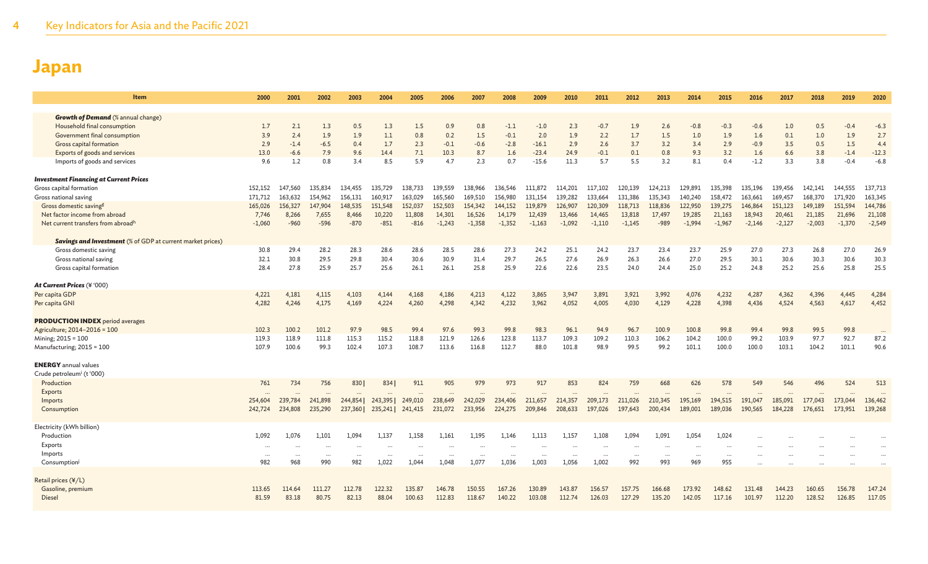| <b>Item</b>                                                       | 2000         | 2001       | 2002       | 2003       | 2004       | 2005       | 2006       | 2007       | 2008             | 2009          | 2010       | 2011          | 2012                  | 2013       | 2014          | 2015          | 2016          | 2017       | 2018       | 2019          | 2020          |
|-------------------------------------------------------------------|--------------|------------|------------|------------|------------|------------|------------|------------|------------------|---------------|------------|---------------|-----------------------|------------|---------------|---------------|---------------|------------|------------|---------------|---------------|
|                                                                   |              |            |            |            |            |            |            |            |                  |               |            |               |                       |            |               |               |               |            |            |               |               |
| <b>Growth of Demand</b> (% annual change)                         |              |            |            |            |            |            |            |            |                  |               |            |               |                       |            |               |               |               |            |            |               |               |
| Household final consumption<br>Government final consumption       | 1.7<br>3.9   | 2.1<br>2.4 | 1.3<br>1.9 | 0.5<br>1.9 | 1.3<br>1.1 | 1.5<br>0.8 | 0.9<br>0.2 | 0.8<br>1.5 | $-1.1$<br>$-0.1$ | $-1.0$<br>2.0 | 2.3<br>1.9 | $-0.7$<br>2.2 | 1.9<br>1.7            | 2.6<br>1.5 | $-0.8$<br>1.0 | $-0.3$<br>1.9 | $-0.6$<br>1.6 | 1.0<br>0.1 | 0.5<br>1.0 | $-0.4$<br>1.9 | $-6.3$<br>2.7 |
| Gross capital formation                                           | 2.9          | $-1.4$     | $-6.5$     | 0.4        | 1.7        | 2.3        | $-0.1$     | $-0.6$     | $-2.8$           | $-16.1$       | 2.9        | 2.6           | 3.7                   | 3.2        | 3.4           | 2.9           | $-0.9$        | 3.5        | 0.5        | 1.5           | 4.4           |
| Exports of goods and services                                     | 13.0         | $-6.6$     | 7.9        | 9.6        | 14.4       | 7.1        | 10.3       | 8.7        | 1.6              | $-23.4$       | 24.9       | $-0.1$        | 0.1                   | 0.8        | 9.3           | 3.2           | 1.6           | 6.6        | 3.8        | $-1.4$        | $-12.3$       |
| Imports of goods and services                                     | 9.6          | 1.2        | 0.8        | 3.4        | 8.5        | 5.9        | 4.7        | 2.3        | 0.7              | $-15.6$       | 11.3       | 5.7           | 5.5                   | 3.2        | 8.1           | 0.4           | $-1.2$        | 3.3        | 3.8        | $-0.4$        | $-6.8$        |
|                                                                   |              |            |            |            |            |            |            |            |                  |               |            |               |                       |            |               |               |               |            |            |               |               |
| <b>Investment Financing at Current Prices</b>                     |              |            |            |            |            |            |            |            |                  |               |            |               |                       |            |               |               |               |            |            |               |               |
| Gross capital formation                                           | 152,152      | 147,560    | 135,834    | 134,455    | 135,729    | 138,733    | 139,559    | 138,966    | 136,546          | 111,872       | 114,201    | 117,102       | 120,139               | 124,213    | 129,891       | 135,398       | 135,196       | 139,456    | 142,141    | 144,555       | 137,713       |
| Gross national saving                                             | 171,712      | 163,632    | 154,962    | 156,131    | 160,917    | 163,029    | 165,560    | 169,510    | 156,980          | 131,154       | 139,282    | 133,664       | 131,386               | 135,343    | 140,240       | 158,472       | 163,661       | 169,457    | 168,370    | 171,920       | 163,345       |
| Gross domestic saving <sup>g</sup>                                | 165,026      | 156,327    | 147,904    | 148,535    | 151,548    | 152,037    | 152,503    | 154,342    | 144,152          | 119,879       | 126,907    | 120,309       | 118,713               | 118,836    | 122,950       | 139,275       | 146,864       | 151,123    | 149,189    | 151,594       | 144,786       |
| Net factor income from abroad                                     | 7,746        | 8,266      | 7,655      | 8,466      | 10,220     | 11,808     | 14,301     | 16,526     | 14,179           | 12,439        | 13,466     | 14,465        | 13,818                | 17,497     | 19,285        | 21,163        | 18,943        | 20,461     | 21,185     | 21,696        | 21,108        |
| Net current transfers from abroadh                                | $-1,060$     | $-960$     | $-596$     | $-870$     | $-851$     | $-816$     | $-1,243$   | $-1,358$   | $-1,352$         | $-1,163$      | $-1,092$   | $-1,110$      | $-1,145$              | $-989$     | $-1,994$      | $-1,967$      | $-2,146$      | $-2,127$   | $-2,003$   | $-1,370$      | $-2,549$      |
|                                                                   |              |            |            |            |            |            |            |            |                  |               |            |               |                       |            |               |               |               |            |            |               |               |
| <b>Savings and Investment</b> (% of GDP at current market prices) |              |            |            |            |            |            |            |            |                  |               |            |               |                       |            |               |               |               |            |            |               |               |
| Gross domestic saving                                             | 30.8         | 29.4       | 28.2       | 28.3       | 28.6       | 28.6       | 28.5       | 28.6       | 27.3             | 24.2          | 25.1       | 24.2          | 23.7                  | 23.4       | 23.7          | 25.9          | 27.0          | 27.3       | 26.8       | 27.0          | 26.9          |
| Gross national saving                                             | 32.1         | 30.8       | 29.5       | 29.8       | 30.4       | 30.6       | 30.9       | 31.4       | 29.7             | 26.5          | 27.6       | 26.9          | 26.3                  | 26.6       | 27.0          | 29.5          | 30.1          | 30.6       | 30.3       | 30.6          | 30.3          |
| Gross capital formation                                           | 28.4         | 27.8       | 25.9       | 25.7       | 25.6       | 26.1       | 26.1       | 25.8       | 25.9             | 22.6          | 22.6       | 23.5          | 24.0                  | 24.4       | 25.0          | 25.2          | 24.8          | 25.2       | 25.6       | 25.8          | 25.5          |
| At Current Prices (¥ '000)                                        |              |            |            |            |            |            |            |            |                  |               |            |               |                       |            |               |               |               |            |            |               |               |
| Per capita GDP                                                    | 4.221        | 4.181      | 4,115      | 4,103      | 4,144      | 4,168      | 4,186      | 4,213      | 4,122            | 3,865         | 3,947      | 3,891         | 3,921                 | 3,992      | 4,076         | 4,232         | 4,287         | 4,362      | 4,396      | 4,445         | 4,284         |
| Per capita GNI                                                    | 4,282        | 4,246      | 4,175      | 4,169      | 4,224      | 4,260      | 4,298      | 4,342      | 4,232            | 3,962         | 4,052      | 4,005         | 4,030                 | 4,129      | 4,228         | 4,398         | 4,436         | 4,524      | 4,563      | 4,617         | 4,452         |
|                                                                   |              |            |            |            |            |            |            |            |                  |               |            |               |                       |            |               |               |               |            |            |               |               |
| <b>PRODUCTION INDEX</b> period averages                           |              |            |            |            |            |            |            |            |                  |               |            |               |                       |            |               |               |               |            |            |               |               |
| Agriculture; 2014-2016 = 100                                      | 102.3        | 100.2      | 101.2      | 97.9       | 98.5       | 99.4       | 97.6       | 99.3       | 99.8             | 98.3          | 96.1       | 94.9          | 96.7                  | 100.9      | 100.8         | 99.8          | 99.4          | 99.8       | 99.5       | 99.8          | $\ddots$      |
| Mining; 2015 = 100                                                | 119.3        | 118.9      | 111.8      | 115.3      | 115.2      | 118.8      | 121.9      | 126.6      | 123.8            | 113.7         | 109.3      | 109.2         | 110.3                 | 106.2      | 104.2         | 100.0         | 99.2          | 103.9      | 97.7       | 92.7          | 87.2          |
| Manufacturing; 2015 = 100                                         | 107.9        | 100.6      | 99.3       | 102.4      | 107.3      | 108.7      | 113.6      | 116.8      | 112.7            | 88.0          | 101.8      | 98.9          | 99.5                  | 99.2       | 101.1         | 100.0         | 100.0         | 103.1      | 104.2      | 101.1         | 90.6          |
|                                                                   |              |            |            |            |            |            |            |            |                  |               |            |               |                       |            |               |               |               |            |            |               |               |
| <b>ENERGY</b> annual values                                       |              |            |            |            |            |            |            |            |                  |               |            |               |                       |            |               |               |               |            |            |               |               |
| Crude petroleum <sup>i</sup> (t '000)                             |              |            |            |            |            |            |            |            |                  |               |            |               |                       |            |               |               |               |            |            |               |               |
| Production                                                        | 761          | 734        | 756        | 830        | 834        | 911        | 905        | 979        | 973              | 917           | 853        | 824           | 759                   | 668        | 626           | 578           | 549           | 546        | 496        | 524           | 513           |
| <b>Exports</b>                                                    |              |            |            |            |            |            |            |            |                  |               |            |               |                       |            |               |               |               |            |            |               |               |
| Imports                                                           | 254,604      | 239,784    | 241,898    | 244,854    | 243,395    | 249,010    | 238,649    | 242,029    | 234,406          | 211,657       | 214,357    | 209,173       | 211,026               | 210,345    | 195,169       | 194,515       | 191.047       | 185,091    | 177,043    | 173,044       | 136,462       |
| Consumption                                                       | 242,724      | 234,808    | 235,290    | 237,360    | 235,2411   | 241,415    | 231,072    | 233,956    | 224,275          | 209,846       | 208,633    | 197,026       | 197,643               | 200,434    | 189,001       | 189,036       | 190,565       | 184,228    | 176,651    | 173,951       | 139,268       |
| Electricity (kWh billion)                                         |              |            |            |            |            |            |            |            |                  |               |            |               |                       |            |               |               |               |            |            |               |               |
| Production                                                        | 1,092        | 1,076      | 1,101      | 1,094      | 1,137      | 1,158      | 1,161      | 1,195      | 1,146            | 1,113         | 1,157      | 1,108         | 1,094                 | 1.091      | 1.054         | 1,024         |               |            |            |               |               |
| Exports                                                           |              |            |            |            |            |            |            |            |                  |               |            |               |                       |            |               |               |               |            |            |               |               |
| Imports                                                           | <br>$\cdots$ | $\cdots$   | $\cdots$   | $\cdots$   | $\ddotsc$  |            | $\cdots$   |            |                  | $\cdots$      |            | $\cdots$      | $\ddotsc$<br>$\cdots$ | $\cdots$   | $\cdots$      | $\cdots$      |               |            |            |               |               |
| Consumption                                                       | 982          | 968        | 990        | 982        | 1,022      | 1,044      | 1,048      | 1,077      | 1,036            | 1,003         | 1,056      | 1,002         | 992                   | 993        | 969           | 955           |               |            |            |               |               |
|                                                                   |              |            |            |            |            |            |            |            |                  |               |            |               |                       |            |               |               |               |            |            |               |               |
| Retail prices (¥/L)                                               |              |            |            |            |            |            |            |            |                  |               |            |               |                       |            |               |               |               |            |            |               |               |
| Gasoline, premium                                                 | 113.65       | 114.64     | 111.27     | 112.78     | 122.32     | 135.87     | 146.78     | 150.55     | 167.26           | 130.89        | 143.87     | 156.57        | 157.75                | 166.68     | 173.92        | 148.62        | 131.48        | 144.23     | 160.65     | 156.78        | 147.24        |
| Diesel                                                            | 81.59        | 83.18      | 80.75      | 82.13      | 88.04      | 100.63     | 112.83     | 118.67     | 140.22           | 103.08        | 112.74     | 126.03        | 127.29                | 135.20     | 142.05        | 117.16        | 101.97        | 112.20     | 128.52     | 126.85        | 117.05        |
|                                                                   |              |            |            |            |            |            |            |            |                  |               |            |               |                       |            |               |               |               |            |            |               |               |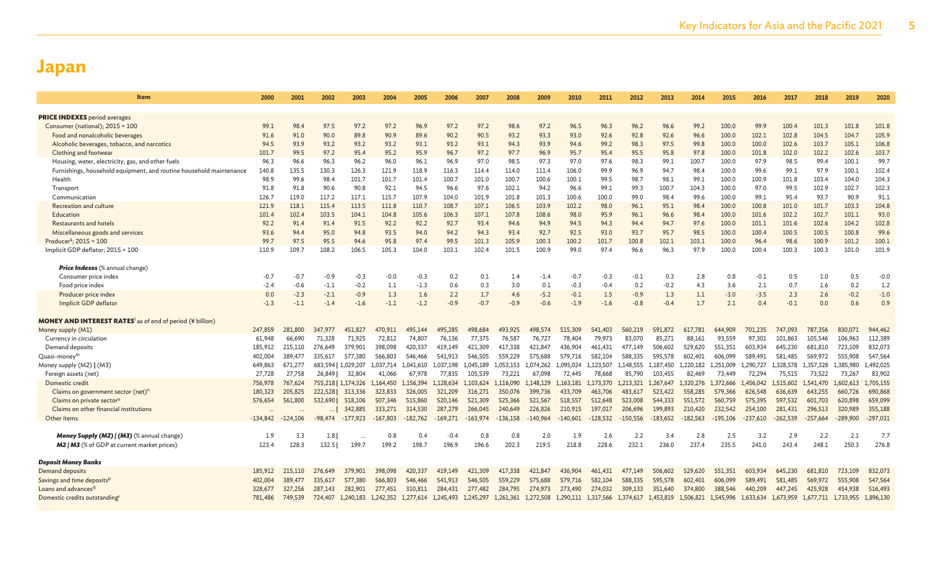| ltem                                                                 | 2000       | 2001       | 2002      | 2003                | 2004       | 2005       | 2006       | 2007       | 2008                                                                                                                                        | 2009       | 2010       | 2011       | 2012       | 2013       | 2014       | 2015       | 2016       | 2017       | 2018                          | 2019       | 2020       |
|----------------------------------------------------------------------|------------|------------|-----------|---------------------|------------|------------|------------|------------|---------------------------------------------------------------------------------------------------------------------------------------------|------------|------------|------------|------------|------------|------------|------------|------------|------------|-------------------------------|------------|------------|
|                                                                      |            |            |           |                     |            |            |            |            |                                                                                                                                             |            |            |            |            |            |            |            |            |            |                               |            |            |
| <b>PRICE INDEXES</b> period averages                                 | 99.1       | 98.4       | 97.5      | 97.2                | 97.2       | 96.9       | 97.2       | 97.2       | 98.6                                                                                                                                        | 97.2       | 96.5       | 96.3       | 96.2       | 96.6       | 99.2       | 100.0      | 99.9       | 100.4      | 101.3                         | 101.8      | 101.8      |
| Consumer (national); $2015 = 100$<br>Food and nonalcoholic beverages | 91.6       | 91.0       | 90.0      | 89.8                | 90.9       | 89.6       | 90.2       | 90.5       | 93.2                                                                                                                                        | 93.3       | 93.0       | 92.6       | 92.8       | 92.6       | 96.6       | 100.0      | 102.1      | 102.8      | 104.5                         | 104.7      | 105.9      |
| Alcoholic beverages, tobacco, and narcotics                          | 94.5       | 93.9       | 93.2      | 93.2                | 93.2       | 93.1       | 93.2       | 93.1       | 94.3                                                                                                                                        | 93.9       | 94.6       | 99.2       | 98.3       | 97.5       | 99.8       | 100.0      | 100.0      | 102.6      | 103.7                         | 105.1      | 106.8      |
| Clothing and footwear                                                | 101.7      | 99.5       | 97.2      | 95.4                | 95.2       | 95.9       | 96.7       | 97.2       | 97.7                                                                                                                                        | 96.9       | 95.7       | 95.4       | 95.5       | 95.8       | 97.8       | 100.0      | 101.8      | 102.0      | 102.2                         | 102.6      | 103.7      |
| Housing, water, electricity, gas, and other fuels                    | 96.3       | 96.6       | 96.3      | 96.2                | 96.0       | 96.1       | 96.9       | 97.0       | 98.5                                                                                                                                        | 97.3       | 97.0       | 97.6       | 98.3       | 99.1       | 100.7      | 100.0      | 97.9       | 98.5       | 99.4                          | 100.1      | 99.7       |
| Furnishings, household equipment, and routine household maintenance  | 140.8      | 135.5      | 130.3     | 126.3               | 121.9      | 118.9      | 116.3      | 114.4      | 114.0                                                                                                                                       | 111.4      | 106.0      | 99.9       | 96.9       | 94.7       | 98.4       | 100.0      | 99.6       | 99.1       | 97.9                          | 100.1      | 102.4      |
| Health                                                               | 98.9       | 99.6       | 98.4      | 101.7               | 101.7      | 101.4      | 100.7      | 101.0      | 100.7                                                                                                                                       | 100.6      | 100.1      | 99.5       | 98.7       | 98.1       | 99.1       | 100.0      | 100.9      | 101.8      | 103.4                         | 104.0      | 104.3      |
| Transport                                                            | 91.8       | 91.8       | 90.6      | 90.8                | 92.1       | 94.5       | 96.6       | 97.6       | 102.1                                                                                                                                       | 94.2       | 96.6       | 99.1       | 99.3       | 100.7      | 104.3      | 100.0      | 97.0       | 99.5       | 102.9                         | 102.7      | 102.3      |
| Communication                                                        | 126.7      | 119.0      | 117.2     | 117.1               | 115.7      | 107.9      | 104.0      | 101.9      | 101.8                                                                                                                                       | 101.3      | 100.6      | 100.0      | 99.0       | 98.4       | 99.6       | 100.0      | 99.1       | 95.4       | 93.7                          | 90.9       | 91.1       |
| Recreation and culture                                               | 121.9      | 118.1      | 115.4     | 113.5               | 111.8      | 110.7      | 108.7      | 107.1      | 106.5                                                                                                                                       | 103.9      | 102.2      | 98.0       | 96.1       | 95.1       | 98.4       | 100.0      | 100.8      | 101.0      | 101.7                         | 103.3      | 104.8      |
| Education                                                            | 101.4      | 102.4      | 103.5     | 104.1               | 104.8      | 105.6      | 106.3      | 107.1      | 107.8                                                                                                                                       | 108.6      | 98.0       | 95.9       | 96.1       | 96.6       | 98.4       | 100.0      | 101.6      | 102.2      | 102.7                         | 101.1      | 93.0       |
| <b>Restaurants and hotels</b>                                        | 92.2       | 91.4       | 91.4      | 91.5                | 92.2       | 92.2       | 92.7       | 93.4       | 94.6                                                                                                                                        | 94.9       | 94.5       | 94.3       | 94.4       | 94.7       | 97.6       | 100.0      | 101.1      | 101.6      | 102.6                         | 104.2      | 102.8      |
| Miscellaneous goods and services                                     | 93.6       | 94.4       | 95.0      | 94.8                | 93.5       | 94.0       | 94.2       | 94.3       | 93.4                                                                                                                                        | 92.7       | 92.5       | 93.0       | 93.7       | 95.7       | 98.5       | 100.0      | 100.4      | 100.5      | 100.5                         | 100.8      | 99.6       |
| Producer <sup>k</sup> ; 2015 = 100                                   | 99.7       | 97.5       | 95.5      | 94.6                | 95.8       | 97.4       | 99.5       | 101.3      | 105.9                                                                                                                                       | 100.3      | 100.2      | 101.7      | 100.8      | 102.1      | 103.1      | 100.0      | 96.4       | 98.6       | 100.9                         | 101.2      | 100.1      |
| Implicit GDP deflator; 2015 = 100                                    | 110.9      | 109.7      | 108.2     | 106.5               | 105.3      | 104.0      | 103.1      | 102.4      | 101.5                                                                                                                                       | 100.9      | 99.0       | 97.4       | 96.6       | 96.3       | 97.9       | 100.0      | 100.4      | 100.3      | 100.3                         | 101.0      | 101.9      |
|                                                                      |            |            |           |                     |            |            |            |            |                                                                                                                                             |            |            |            |            |            |            |            |            |            |                               |            |            |
| <b>Price Indexes</b> (% annual change)                               |            |            |           |                     |            |            |            |            |                                                                                                                                             |            |            |            |            |            |            |            |            |            |                               |            |            |
| Consumer price index                                                 | $-0.7$     | $-0.7$     | $-0.9$    | $-0.3$              | $-0.0$     | $-0.3$     | 0.2        | 0.1        | 1.4                                                                                                                                         | $-1.4$     | $-0.7$     | $-0.3$     | $-0.1$     | 0.3        | 2.8        | 0.8        | $-0.1$     | 0.5        | 1.0                           | 0.5        | $-0.0$     |
| Food price index                                                     | $-2.4$     | $-0.6$     | $-1.1$    | $-0.2$              | 1.1        | $-1.3$     | 0.6        | 0.3        | 3.0                                                                                                                                         | 0.1        | $-0.3$     | $-0.4$     | 0.2        | $-0.2$     | 4.3        | 3.6        | 2.1        | 0.7        | 1.6                           | 0.2        | 1.2        |
| Producer price index                                                 | 0.0        | $-2.3$     | $-2.1$    | $-0.9$              | 1.3        | 1.6        | 2.2        | 1.7        | 4.6                                                                                                                                         | $-5.2$     | $-0.1$     | 1.5        | $-0.9$     | 1.3        | 1.1        | $-3.0$     | $-3.5$     | 2.3        | 2.6                           | $-0.2$     | $-1.0$     |
| Implicit GDP deflator                                                | $-1.3$     | $-1.1$     | $-1.4$    | $-1.6$              | $-1.1$     | $-1.2$     | $-0.9$     | $-0.7$     | $-0.9$                                                                                                                                      | $-0.6$     | $-1.9$     | $-1.6$     | $-0.8$     | $-0.4$     | 1.7        | 2.1        | 0.4        | $-0.1$     | 0.0                           | 0.6        | 0.9        |
|                                                                      |            |            |           |                     |            |            |            |            |                                                                                                                                             |            |            |            |            |            |            |            |            |            |                               |            |            |
| <b>MONEY AND INTEREST RATES</b> as of end of period (¥ billion)      |            |            |           |                     |            |            |            |            |                                                                                                                                             |            |            |            |            |            |            |            |            |            |                               |            |            |
| Money supply (M1)                                                    | 247,859    | 281,800    | 347,977   | 451,827             | 470.911    | 495,144    | 495,285    | 498,684    | 493,925                                                                                                                                     | 498,574    | 515,309    | 541,403    | 560,219    | 591,872    | 617,781    | 644,909    | 701,235    | 747,093    | 787,356                       | 830,071    | 944,462    |
| Currency in circulation                                              | 61,948     | 66,690     | 71.328    | 71.925              | 72,812     | 74.807     | 76.136     | 77,375     | 76,587                                                                                                                                      | 76.727     | 78,404     | 79,973     | 83,070     | 85,271     | 88.161     | 93,559     | 97,301     | 101.863    | 105,546                       | 106,963    | 112,389    |
| Demand deposits                                                      | 185,912    | 215,110    | 276,649   | 379,901             | 398,098    | 420,337    | 419,149    | 421,309    | 417,338                                                                                                                                     | 421,847    | 436,904    | 461,431    | 477,149    | 506,602    | 529,620    | 551,351    | 603,934    | 645,230    | 681,810                       | 723,109    | 832,073    |
| Quasi-money <sup>m</sup>                                             | 402,004    | 389,477    | 335.617   | 577,380             | 566,803    | 546,466    | 541,913    | 546,505    | 559,229                                                                                                                                     | 575.688    | 579,716    | 582.104    | 588,335    | 595,578    | 602,401    | 606.099    | 589,491    | 581,485    | 569,972                       | 555,908    | 547,564    |
| Money supply (M2)   (M3)                                             | 649,863    | 671,277    |           | 683,594   1,029,207 | 1,037,714  | 1,041,610  | 1,037,198  | 1,045,189  | 1,053,153                                                                                                                                   | 1,074,262  | 1,095,024  | 1,123,507  | 1,148,555  | 1,187,450  | 1,220,182  | 1,251,009  | 1,290,727  | 1,328,578  | 1,357,328                     | 1,385,980  | 1,492,025  |
| Foreign assets (net)                                                 | 27,728     | 27,758     | 26,849    | 32,804              | 41,066     | 67,978     | 77,835     | 105,539    | 73.221                                                                                                                                      | 67,098     | 72,445     | 78,668     | 85,790     | 103,455    | 82,469     | 73,449     | 72,294     | 75,515     | 73,522                        | 73,267     | 83,902     |
| Domestic credit                                                      | 756,978    | 767,624    |           | 755,218   1,174,326 | 1,164,450  | 1,156,394  | 1,128,634  | 1,103,624  | 1,116,090                                                                                                                                   | 1,148,129  | 1,163,181  | 1,173,370  | 1,213,321  | 1,267,647  | 1,320,276  | 1,372,666  | 1,456,042  | .,515,602  | 1,541,470                     | 1,602,613  | 1,705,155  |
| Claims on government sector (net) <sup>n</sup>                       | 180,323    | 205,825    | 222,528   | 313,336             | 323,833    | 326,005    | 321,209    | 316,271    | 350,076                                                                                                                                     | 399,736    | 433,709    | 463,706    | 483,617    | 523,422    | 558,285    | 579.366    | 626,548    | 636,639    | 643,255                       | 660,726    | 690,868    |
| Claims on private sector <sup>o</sup>                                | 576,654    | 561,800    | 532,690   | 518,106             | 507,346    | 515,860    | 520,146    | 521,309    | 525,366                                                                                                                                     | 521,567    | 518,557    | 512,648    | 523,008    | 544,333    | 551,572    | 560,759    | 575,395    | 597,532    | 601,703                       | 620,898    | 659,099    |
| Claims on other financial institutions                               | $\cdots$   |            |           | 342,885             | 333,271    | 314,530    | 287,279    | 266,045    | 240,649                                                                                                                                     | 226,826    | 210,915    | 197,017    | 206,696    | 199,893    | 210,420    | 232,542    | 254,100    | 281,431    | 296,513                       | 320,989    | 355,188    |
| Other items                                                          | $-134,842$ | $-124,106$ | $-98,474$ | $-177,923$          | $-167,803$ | $-182,762$ | $-169,271$ | $-163.974$ | $-136,158$                                                                                                                                  | $-140,964$ | $-140,601$ | $-128,532$ | $-150,556$ | $-183,652$ | $-182,563$ | $-195,106$ | $-237,610$ | $-262,539$ | $-257,664$                    | $-289,900$ | $-297,031$ |
|                                                                      |            |            |           |                     |            |            |            |            |                                                                                                                                             |            |            |            |            |            |            |            |            |            |                               |            |            |
| <b>Money Supply (M2)   (M3)</b> (% annual change)                    | 1.9        | 3.3        | 1.8       |                     | 0.8        | 0.4        | $-0.4$     | 0.8        | 0.8                                                                                                                                         | 2.0        | 1.9        | 2.6        | 2.2        | 3.4        | 2.8        | 2.5        | 3.2        | 2.9        | 2.2                           | 2.1        | 7.7        |
| <b>M2   M3</b> (% of GDP at current market prices)                   | 123.4      | 128.3      | 132.5     | 199.7               | 199.2      | 198.7      | 196.9      | 196.6      | 202.3                                                                                                                                       | 219.5      | 218.8      | 228.6      | 232.1      | 236.0      | 237.4      | 235.5      | 241.0      | 243.4      | 248.1                         | 250.3      | 276.8      |
|                                                                      |            |            |           |                     |            |            |            |            |                                                                                                                                             |            |            |            |            |            |            |            |            |            |                               |            |            |
| <b>Deposit Money Banks</b>                                           |            |            |           |                     |            |            |            |            |                                                                                                                                             |            |            |            |            |            |            |            |            |            |                               |            |            |
| Demand deposits                                                      | 185,912    | 215,110    | 276,649   | 379,901             | 398,098    | 420,337    | 419,149    | 421,309    | 417.338                                                                                                                                     | 421.847    | 436,904    | 461.431    | 477,149    | 506,602    | 529,620    | 551,351    | 603.934    | 645,230    | 681,810                       | 723,109    | 832,073    |
| Savings and time deposits <sup>p</sup>                               | 402,004    | 389,477    | 335,617   | 577,380             | 566,803    | 546,466    | 541,913    | 546,505    | 559,229                                                                                                                                     | 575,688    | 579,716    | 582,104    | 588,335    | 595,578    | 602,401    | 606,099    | 589,491    | 581.485    | 569,972                       | 555,908    | 547,564    |
| Loans and advances <sup>q</sup>                                      | 328,677    | 327,256    | 287,143   | 282,901             | 277,451    | 310,811    | 284,431    | 277,482    | 284,795                                                                                                                                     | 274,973    | 273,490    | 274,032    | 309,133    | 351,640    | 374,800    | 388,546    | 440,209    | 447,245    | 425,928                       | 454,938    | 516,493    |
| Domestic credits outstanding                                         | 781,486    | 749,539    | 724,407   |                     |            |            |            |            | 1,240,183 1,242,352 1,277,614 1,245,493 1,245,297 1,261,361 1,272,508 1,290,111 1,317,566 1,374,617 1,453,819 1,506,821 1,545,996 1,633,634 |            |            |            |            |            |            |            |            |            | 1,673,959 1,677,711 1,733,955 |            | 1,896,130  |
|                                                                      |            |            |           |                     |            |            |            |            |                                                                                                                                             |            |            |            |            |            |            |            |            |            |                               |            |            |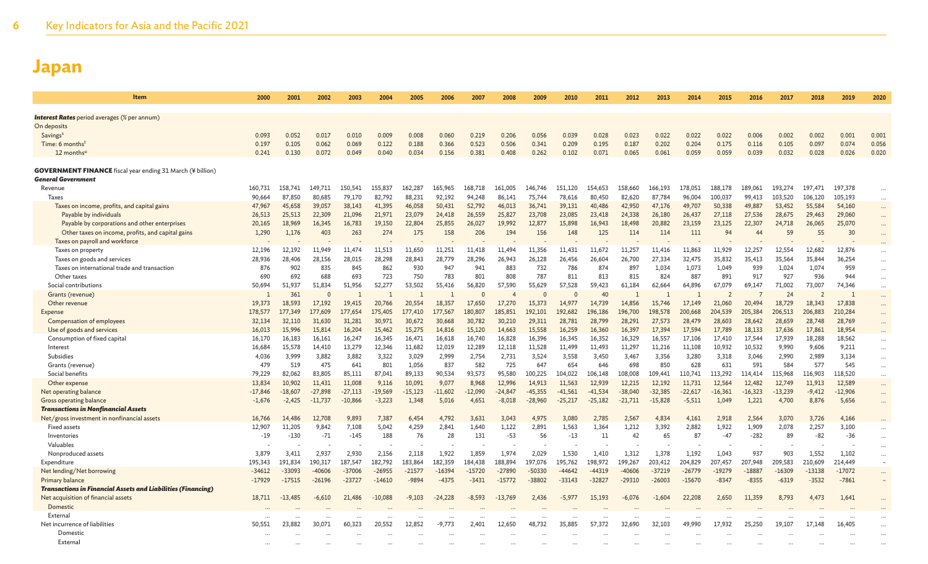6 Key Indicators for Asia and the Pacific 2021

| <b>Item</b>                                                         | 2000             | 2001             | 2002              | 2003             | 2004             | 2005              | 2006             | 2007             | 2008             | 2009             | 2010             | 2011             | 2012             | 2013             | 2014             | 2015              | 2016             | 2017             | 2018             | 2019             | 2020                 |
|---------------------------------------------------------------------|------------------|------------------|-------------------|------------------|------------------|-------------------|------------------|------------------|------------------|------------------|------------------|------------------|------------------|------------------|------------------|-------------------|------------------|------------------|------------------|------------------|----------------------|
|                                                                     |                  |                  |                   |                  |                  |                   |                  |                  |                  |                  |                  |                  |                  |                  |                  |                   |                  |                  |                  |                  |                      |
| <b>Interest Rates</b> period averages (% per annum)<br>On deposits  |                  |                  |                   |                  |                  |                   |                  |                  |                  |                  |                  |                  |                  |                  |                  |                   |                  |                  |                  |                  |                      |
| Savings <sup>s</sup>                                                | 0.093            | 0.052            | 0.017             | 0.010            | 0.009            | 0.008             | 0.060            | 0.219            | 0.206            | 0.056            | 0.039            | 0.028            | 0.023            | 0.022            | 0.022            | 0.022             | 0.006            | 0.002            | 0.002            | 0.001            | 0.001                |
| Time: 6 months <sup>t</sup>                                         | 0.197            | 0.105            | 0.062             | 0.069            | 0.122            | 0.188             | 0.366            | 0.523            | 0.506            | 0.341            | 0.209            | 0.195            | 0.187            | 0.202            | 0.204            | 0.175             | 0.116            | 0.105            | 0.097            | 0.074            | 0.056                |
| 12 monthsu                                                          | 0.241            | 0.130            | 0.072             | 0.049            | 0.040            | 0.034             | 0.156            | 0.381            | 0.408            | 0.262            | 0.102            | 0.071            | 0.065            | 0.061            | 0.059            | 0.059             | 0.039            | 0.032            | 0.028            | 0.026            | 0.020                |
|                                                                     |                  |                  |                   |                  |                  |                   |                  |                  |                  |                  |                  |                  |                  |                  |                  |                   |                  |                  |                  |                  |                      |
| <b>GOVERNMENT FINANCE</b> fiscal year ending 31 March (¥ billion)   |                  |                  |                   |                  |                  |                   |                  |                  |                  |                  |                  |                  |                  |                  |                  |                   |                  |                  |                  |                  |                      |
| General Government                                                  |                  |                  |                   |                  |                  |                   |                  |                  |                  |                  |                  |                  |                  |                  |                  |                   |                  |                  |                  |                  |                      |
| Revenue                                                             | 160,731          | 158,741          | 149,711           | 150,541          | 155,837          | 162.287           | 165,965          | 168,718          | 161,005          | 146,746          | 151.120          | 154,653          | 158,660          | 166,193          | 178,051          | 188,178           | 189.061          | 193,274          | 197.471          | 197,378          |                      |
| <b>Taxes</b>                                                        | 90,664           | 87,850           | 80.685            | 79,170           | 82.792           | 88,231            | 92.192           | 94.248           | 86.141           | 75.744           | 78,616           | 80,450           | 82.620           | 87,784           | 96.004           | 100.037           | 99.413           | 103,520          | 106,120          | 105.193          | $\cdots$             |
| Taxes on income, profits, and capital gains                         | 47,967           | 45,658           | 39,057            | 38,143           | 41,395           | 46,058            | 50,431           | 52,792           | 46,013           | 36,741           | 39,131           | 40,486           | 42,950           | 47,176           | 49,707           | 50,338            | 49,887           | 53,452           | 55,584           | 54,160           | $\cdots$             |
| Payable by individuals                                              | 26,513           | 25,513           | 22,309            | 21,096           | 21,971           | 23,079            | 24,418           | 26,559           | 25,827           | 23,708           | 23,085           | 23,418           | 24,338           | 26,180           | 26,437           | 27,118            | 27,536           | 28,675           | 29,463           | 29,060           | $\cdots$             |
| Payable by corporations and other enterprises                       | 20,165           | 18,969           | 16.345            | 16,783           | 19,150           | 22,804            | 25,855           | 26,027           | 19,992           | 12,877           | 15,898           | 16,943           | 18,498           | 20,882           | 23,159           | 23,125            | 22,307           | 24,718           | 26,065           | 25,070           | $\cdots$             |
| Other taxes on income, profits, and capital gains                   | 1,290            | 1,176            | 403               | 263              | 274              | 175               | 158              | 206              | 194              | 156              | 148              | 125              | 114              | 114              | 111              | 94                | 44               | 59               | 55               | 30               |                      |
| Taxes on payroll and workforce                                      |                  |                  |                   |                  |                  |                   |                  |                  |                  |                  |                  |                  |                  |                  |                  |                   |                  |                  |                  |                  |                      |
| Taxes on property                                                   | 12.196           | 12,192           | 11.949            | 11,474           | 11.513           | 11.650            | 11.251           | 11.418           | 11.494           | 11.356           | 11.431           | 11.672           | 11.257           | 11.416           | 11,863           | 11.929            | 12.257           | 12.554           | 12.682           | 12,876           | $\cdots$             |
| Taxes on goods and services                                         | 28,936           | 28,406           | 28,156            | 28,015           | 28,298           | 28,843            | 28,779           | 28,296           | 26,943           | 26,128           | 26,456           | 26,604           | 26,700           | 27,334           | 32,475           | 35,832            | 35,413           | 35,564           | 35,844           | 36,254           | $\cdots$             |
| Taxes on international trade and transaction                        | 876              | 902              | 835               | 845              | 862              | 930               | 947              | 941              | 883              | 732              | 786              | 874              | 897              | 1,034            | 1,073            | 1,049             | 939              | 1,024            | 1,074            | 959              | $\cdots$             |
| Other taxes                                                         | 690              | 692              | 688               | 693              | 723              | 750               | 783              | 801              | 808              | 787              | 811              | 813              | 815              | 824              | 887              | 891               | 917              | 927              | 936              | 944              | $\cdots$             |
| Social contributions                                                | 50,694           | 51,937           | 51,834            | 51.956           | 52,277           | 53,502            | 55,416           | 56,820           | 57,590           | 55.629           | 57.528           | 59,423           | 61,184           | 62,664           | 64,896           | 67.079            | 69.147           | 71,002           | 73,007           | 74,346           | $\cdots$             |
| Grants (revenue)                                                    |                  | 361              | $\Omega$          |                  |                  |                   |                  |                  |                  | $\Omega$         |                  | 40               | -1               |                  |                  | $\overline{2}$    |                  | 24               | 2                | 1                |                      |
| Other revenue                                                       | 19.373           | 18,593           | 17.192            | 19,415           | 20,766           | 20,554            | 18.357           | 17.650           | 17,270           | 15,373           | 14,977           | 14.739           | 14,856           | 15.746           | 17.149           | 21,060            | 20,494           | 18,729           | 18,343           | 17,838           | $\cdots$             |
| <b>Expense</b>                                                      | 178,577          | 177,349          | 177,609<br>31,630 | 177,654          | 175,405          | 177,410<br>30,672 | 177,567          | 180,807          | 185,851          | 192,101          | 192,682          | 196,186          | 196,700          | 198,578          | 200,668          | 204,539<br>28,603 | 205,384          | 206,513          | 206,883          | 210,284          | $\cdots$             |
| Compensation of employees<br>Use of goods and services              | 32,134<br>16,013 | 32,110<br>15,996 | 15,814            | 31,281<br>16,204 | 30,971<br>15,462 | 15,275            | 30,668<br>14,816 | 30,782           | 30,210<br>14,663 | 29,311<br>15,558 | 28,781           | 28,799<br>16,360 | 28,291<br>16,397 | 27,573<br>17,394 | 28,479<br>17,594 | 17,789            | 28,642<br>18,133 | 28,659<br>17,636 | 28,748<br>17,861 | 28,769           | $\cdots$             |
| Consumption of fixed capital                                        | 16,170           | 16,183           | 16,161            | 16,247           | 16,345           | 16,471            | 16,618           | 15,120<br>16,740 | 16,828           | 16,396           | 16,259<br>16,345 | 16,352           | 16,329           | 16,557           | 17,106           | 17,410            | 17,544           | 17,939           | 18,288           | 18,954<br>18,562 |                      |
| Interest                                                            | 16,684           | 15,578           | 14,410            | 13,279           | 12,346           | 11,682            | 12,019           | 12,289           | 12,118           | 11,528           | 11,499           | 11,493           | 11,297           | 11,216           | 11,108           | 10,932            | 10,532           | 9,990            | 9,606            | 9,211            | $\cdots$             |
| Subsidies                                                           | 4,036            | 3,999            | 3,882             | 3,882            | 3,322            | 3,029             | 2,999            | 2,754            | 2,731            | 3,524            | 3,558            | 3,450            | 3,467            | 3,356            | 3,280            | 3,318             | 3,046            | 2,990            | 2,989            | 3,134            | $\cdots$             |
| Grants (revenue)                                                    | 479              | 519              | 475               | 641              | 801              | 1,056             | 837              | 582              | 725              | 647              | 654              | 646              | 698              | 850              | 628              | 631               | 591              | 584              | 577              | 545              | $\cdots$<br>$\cdots$ |
| Social benefits                                                     | 79,229           | 82,062           | 83,805            | 85,111           | 87,041           | 89,133            | 90,534           | 93,573           | 95,580           | 100,225          | 104,022          | 106,148          | 108,008          | 109,441          | 110,741          | 113,292           | 114,414          | 115,968          | 116,903          | 118,520          | $\cdots$             |
| Other expense                                                       | 13,834           | 10,902           | 11,431            | 11,008           | 9,116            | 10.091            | 9,077            | 8,968            | 12,996           | 14,913           | 11,563           | 12,939           | 12,215           | 12,192           | 11,731           | 12,564            | 12,482           | 12,749           | 11.913           | 12,589           | $\cdots$             |
| Net operating balance                                               | $-17,846$        | $-18,607$        | $-27,898$         | $-27,113$        | $-19,569$        | $-15,123$         | $-11,602$        | $-12,090$        | $-24,847$        | $-45,355$        | $-41,561$        | $-41,534$        | $-38,040$        | $-32,385$        | $-22,617$        | $-16,361$         | $-16,323$        | $-13,239$        | $-9,412$         | $-12,906$        | $\cdots$             |
| Gross operating balance                                             | $-1,676$         | $-2,425$         | $-11,737$         | $-10,866$        | $-3,223$         | 1,348             | 5,016            | 4,651            | $-8,018$         | $-28,960$        | $-25,217$        | $-25,182$        | $-21,711$        | $-15,828$        | $-5,511$         | 1,049             | 1,221            | 4,700            | 8,876            | 5,656            | $\cdots$             |
| <b>Transactions in Nonfinancial Assets</b>                          |                  |                  |                   |                  |                  |                   |                  |                  |                  |                  |                  |                  |                  |                  |                  |                   |                  |                  |                  |                  |                      |
| Net/gross investment in nonfinancial assets                         | 16,766           | 14,486           | 12,708            | 9.893            | 7,387            | 6.454             | 4.792            | 3,631            | 3.043            | 4,975            | 3.080            | 2,785            | 2,567            | 4.834            | 4,161            | 2,918             | 2,564            | 3,070            | 3,726            | 4,166            | $\cdots$             |
| <b>Fixed assets</b>                                                 | 12,907           | 11,205           | 9,842             | 7,108            | 5,042            | 4,259             | 2,841            | 1,640            | 1,122            | 2,891            | 1,563            | 1,364            | 1,212            | 3,392            | 2,882            | 1,922             | 1,909            | 2,078            | 2,257            | 3,100            | $\cdots$             |
| Inventories                                                         | $-19$            | $-130$           | $-71$             | $-145$           | 188              | 76                | 28               | 131              | $-53$            | 56               | $-13$            | 11               | 42               | 65               | 87               | $-47$             | $-282$           | 89               | $-82$            | $-36$            | $\cdots$             |
| Valuables                                                           |                  |                  |                   |                  |                  |                   |                  |                  |                  |                  |                  |                  |                  |                  |                  |                   |                  |                  |                  |                  | $\cdots$             |
| Nonproduced assets                                                  | 3.879            | 3,411            | 2.937             | 2.930            | 2,156            | 2.118             | 1.922            | 1,859            | 1.974            | 2.029            | 1.530            | 1.410            | 1.312            | 1.378            | 1.192            | 1.043             | 937              | 903              | 1,552            | 1.102            | $\cdots$             |
| Expenditure                                                         | 195,343          | 191,834          | 190,317           | 187,547          | 182,792          | 183,864           | 182,359          | 184,438          | 188,894          | 197,076          | 195,762          | 198,972          | 199,267          | 203,412          | 204,829          | 207,457           | 207,948          | 209,583          | 210,609          | 214,449          | $\sim$               |
| Net lending/Net borrowing                                           | $-34612$         | $-33093$         | $-40606$          | $-37006$         | $-26955$         | $-21577$          | $-16394$         | $-15720$         | $-27890$         | $-50330$         | $-44642$         | -44319           | $-40606$         | $-37219$         | $-26779$         | $-19279$          | $-18887$         | $-16309$         | $-13138$         | $-17072$         | $\cdots$             |
| <b>Primary balance</b>                                              | $-17929$         | $-17515$         | $-26196$          | $-23727$         | $-14610$         | -9894             | $-4375$          | $-3431$          | $-15772$         | $-38802$         | $-33143$         | $-32827$         | $-29310$         | $-26003$         | $-15670$         | $-8347$           | $-8355$          | $-6319$          | $-3532$          | $-7861$          |                      |
| <b>Transactions in Financial Assets and Liabilities (Financing)</b> |                  |                  |                   |                  |                  |                   |                  |                  |                  |                  |                  |                  |                  |                  |                  |                   |                  |                  |                  |                  |                      |
| Net acquisition of financial assets                                 | 18,711           | $-13,485$        | $-6,610$          | 21,486           | $-10,088$        | $-9,103$          | $-24,228$        | $-8,593$         | $-13,769$        | 2,436            | $-5,977$         | 15,193           | $-6,076$         | $-1,604$         | 22,208           | 2,650             | 11,359           | 8,793            | 4,473            | 1,641            | $\cdots$             |
| Domestic                                                            |                  |                  |                   |                  |                  |                   |                  |                  |                  |                  |                  |                  |                  |                  |                  |                   |                  |                  |                  |                  |                      |
| External                                                            |                  |                  |                   |                  |                  |                   |                  |                  |                  |                  |                  |                  |                  |                  |                  |                   |                  |                  |                  |                  | $\cdots$             |
| Net incurrence of liabilities                                       | 50,551           | 23,882           | 30,071            | 60,323           | 20,552           | 12,852            | -9,773           | 2,401            | 12,650           | 48,732           | 35,885           | 57,372           | 32,690           | 32,103           | 49,990           | 17,932            | 25,250           | 19,107           | 17,148           | 16,405           | $\cdots$             |
| Domestic                                                            |                  |                  |                   |                  |                  |                   |                  |                  |                  |                  |                  |                  |                  |                  |                  |                   |                  |                  |                  |                  |                      |
| External                                                            |                  |                  |                   |                  |                  |                   |                  |                  |                  |                  |                  |                  |                  |                  |                  |                   |                  |                  |                  |                  |                      |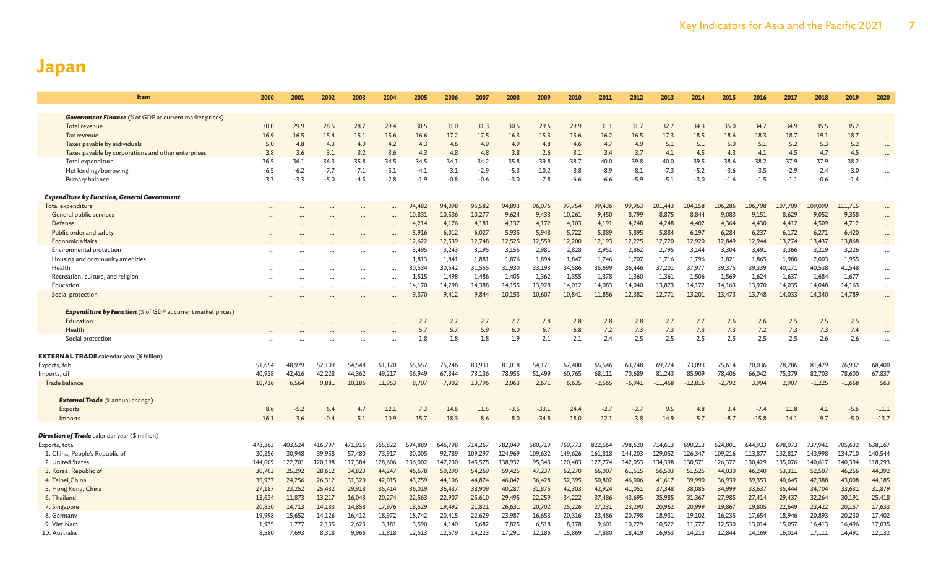| Item                                                               | 2000    | 2001    | 2002    | 2003    | 2004     | 2005    | 2006    | 2007    | 2008    | 2009    | 2010    | 2011     | 2012     | 2013      | 2014      | 2015     | 2016    | 2017    | 2018     | 2019     | 2020      |
|--------------------------------------------------------------------|---------|---------|---------|---------|----------|---------|---------|---------|---------|---------|---------|----------|----------|-----------|-----------|----------|---------|---------|----------|----------|-----------|
|                                                                    |         |         |         |         |          |         |         |         |         |         |         |          |          |           |           |          |         |         |          |          |           |
| <b>Government Finance</b> (% of GDP at current market prices)      |         |         |         |         |          |         |         |         |         |         |         |          |          |           |           |          |         |         |          |          |           |
| Total revenue                                                      | 30.0    | 29.9    | 28.5    | 28.7    | 29.4     | 30.5    | 31.0    | 31.3    | 30.5    | 29.6    | 29.9    | 31.1     | 31.7     | 32.7      | 34.3      | 35.0     | 34.7    | 34.9    | 35.5     | 35.2     | $\cdots$  |
| Tax revenue                                                        | 16.9    | 16.5    | 15.4    | 15.1    | 15.6     | 16.6    | 17.2    | 17.5    | 16.3    | 15.3    | 15.6    | 16.2     | 16.5     | 17.3      | 18.5      | 18.6     | 18.3    | 18.7    | 19.1     | 18.7     | $\ddotsc$ |
| Taxes payable by individuals                                       | 5.0     | 4.8     | 4.3     | 4.0     | 4.2      | 4.3     | 4.6     | 4.9     | 4.9     | 4.8     | 4.6     | 4.7      | 4.9      | 5.1       | 5.1       | 5.0      | 5.1     | 5.2     | 5.3      | 5.2      | $\cdots$  |
| Taxes payable by corporations and other enterprises                | 3.8     | 3.6     | 3.1     | 3.2     | 3.6      | 4.3     | 4.8     | 4.8     | 3.8     | 2.6     | 3.1     | 3.4      | 3.7      | 4.1       | 4.5       | 4.3      | 4.1     | 4.5     | 4.7      | 4.5      |           |
| Total expenditure                                                  | 36.5    | 36.1    | 36.3    | 35.8    | 34.5     | 34.5    | 34.1    | 34.2    | 35.8    | 39.8    | 38.7    | 40.0     | 39.8     | 40.0      | 39.5      | 38.6     | 38.2    | 37.9    | 37.9     | 38.2     | $\cdots$  |
| Net lending/borrowing                                              | $-6.5$  | $-6.2$  | $-7.7$  | $-7.1$  | $-5.1$   | $-4.1$  | $-3.1$  | $-2.9$  | $-5.3$  | $-10.2$ | $-8.8$  | $-8.9$   | $-8.1$   | $-7.3$    | $-5.2$    | $-3.6$   | $-3.5$  | $-2.9$  | $-2.4$   | $-3.0$   | $\cdots$  |
| Primary balance                                                    | $-3.3$  | $-3.3$  | $-5.0$  | $-4.5$  | $-2.8$   | $-1.9$  | $-0.8$  | $-0.6$  | $-3.0$  | $-7.8$  | $-6.6$  | $-6.6$   | $-5.9$   | $-5.1$    | $-3.0$    | $-1.6$   | $-1.5$  | $-1.1$  | $-0.6$   | $-1.4$   |           |
| <b>Expenditure by Function, General Government</b>                 |         |         |         |         |          |         |         |         |         |         |         |          |          |           |           |          |         |         |          |          |           |
| Total expenditure                                                  |         |         |         |         |          | 94,482  | 94,098  | 95,582  | 94,893  | 96,076  | 97,754  | 99,436   | 99,963   | 101,443   | 04,158    | 106,286  | 106,798 | 107,709 | 109,099  | 111,715  | $\cdots$  |
| General public services                                            |         |         |         |         |          | 10,831  | 10,536  | 10,277  | 9,624   | 9,433   | 10,261  | 9,450    | 8,799    | 8,875     | 8,844     | 9,083    | 9,151   | 8,629   | 9,052    | 9,358    | $\cdots$  |
| Defense                                                            |         |         |         |         |          | 4,214   | 4,176   | 4,181   | 4,137   | 4,172   | 4,103   | 4,191    | 4,248    | 4,248     | 4,402     | 4,364    | 4,430   | 4,412   | 4,509    | 4,712    | $\cdots$  |
| Public order and safety                                            |         |         |         |         |          | 5,916   | 6,012   | 6,027   | 5,935   | 5,948   | 5,722   | 5,889    | 5,895    | 5,884     | 6,197     | 6,284    | 6,237   | 6,172   | 6,271    | 6,420    | $\cdots$  |
| Economic affairs                                                   |         |         |         |         |          | 12,622  | 12,539  | 12,748  | 12,525  | 12,559  | 12,200  | 12,193   | 12,225   | 12,720    | 12,920    | 12,849   | 12,944  | 13,274  | 13,437   | 13,868   |           |
| Environmental protection                                           |         |         |         |         |          | 3,495   | 3,243   | 3,195   | 3,155   | 2,981   | 2,828   | 2,951    | 2,862    | 2,795     | 3,144     | 3,304    | 3,491   | 3,366   | 3,219    | 3,226    | $\cdots$  |
| Housing and community amenities                                    |         |         |         |         |          | 1,813   | 1,841   | 1,881   | 1,876   | 1,894   | 1,847   | 1,746    | 1,707    | 1,716     | 1,796     | 1,821    | 1,865   | 1,980   | 2,003    | 1,955    | $\cdots$  |
| Health                                                             |         |         |         |         |          | 30,534  | 30,542  | 31,555  | 31,930  | 33,193  | 34,586  | 35,699   | 36,446   | 37,201    | 37,977    | 39,375   | 39,339  | 40,171  | 40,538   | 41,548   | $\cdots$  |
| Recreation, culture, and religion                                  |         |         |         |         | $\cdots$ | 1,515   | 1,498   | 1,486   | 1,405   | 1,362   | 1,355   | 1,378    | 1,360    | 1,361     | 1,506     | 1,569    | 1,624   | 1,637   | 1,684    | 1,677    | $\cdots$  |
| Education                                                          |         |         |         |         | $\cdots$ | 14,170  | 14,298  | 14,388  | 14,155  | 13,928  | 14,012  | 14,083   | 14,040   | 13,873    | 14,172    | 14,163   | 13,970  | 14,035  | 14,048   | 14,163   | $\cdots$  |
| Social protection                                                  |         |         |         |         |          | 9,370   | 9.412   | 9.844   | 10,153  | 10.607  | 10,841  | 11,856   | 12,382   | 12,771    | 13,201    | 13.473   | 13,748  | 14,033  | 14,340   | 14,789   | $\cdots$  |
| <b>Expenditure by Function</b> (% of GDP at current market prices) |         |         |         |         |          |         |         |         |         |         |         |          |          |           |           |          |         |         |          |          |           |
| Education                                                          |         |         |         |         |          | 2.7     | 2.7     | 2.7     | 2.7     | 2.8     | 2.8     | 2.8      | 2.8      | 2.7       | 2.7       | 2.6      | 2.6     | 2.5     | 2.5      | 2.5      |           |
| Health                                                             |         |         |         |         |          | 5.7     | 5.7     | 5.9     | 6.0     | 6.7     | 6.8     | 7.2      | 7.3      | 7.3       | 7.3       | 7.3      | 7.2     | 7.3     | 7.3      | 7.4      |           |
| Social protection                                                  |         |         |         |         |          | 1.8     | 1.8     | 1.8     | 1.9     | 2.1     | 2.1     | 2.4      | 2.5      | 2.5       | 2.5       | 2.5      | 2.5     | 2.5     | 2.6      | 2.6      |           |
|                                                                    |         |         |         |         |          |         |         |         |         |         |         |          |          |           |           |          |         |         |          |          |           |
| <b>EXTERNAL TRADE</b> calendar year (¥ billion)                    |         |         |         |         |          |         |         |         |         |         |         |          |          |           |           |          |         |         |          |          |           |
| Exports, fob                                                       | 51,654  | 48,979  | 52,109  | 54,548  | 61,170   | 65,657  | 75,246  | 83,931  | 81,018  | 54,171  | 67,400  | 65,546   | 63,748   | 69,774    | 73,093    | 75,614   | 70,036  | 78,286  | 81,479   | 76,932   | 68,400    |
| Imports, cif                                                       | 40,938  | 42,416  | 42,228  | 44,362  | 49,217   | 56,949  | 67,344  | 73,136  | 78,955  | 51,499  | 60,765  | 68,111   | 70,689   | 81,243    | 85,909    | 78,406   | 66,042  | 75,379  | 82,703   | 78,600   | 67,837    |
| Trade balance                                                      | 10,716  | 6,564   | 9,881   | 10,186  | 11,953   | 8,707   | 7,902   | 10,796  | 2,063   | 2,671   | 6,635   | $-2,565$ | $-6,941$ | $-11,468$ | $-12,816$ | $-2,792$ | 3,994   | 2,907   | $-1,225$ | $-1,668$ | 563       |
|                                                                    |         |         |         |         |          |         |         |         |         |         |         |          |          |           |           |          |         |         |          |          |           |
| <b>External Trade</b> (% annual change)                            |         |         |         |         |          |         |         |         |         |         |         |          |          |           |           |          |         |         |          |          |           |
| <b>Exports</b>                                                     | 8.6     | $-5.2$  | 6.4     | 4.7     | 12.1     | 7.3     | 14.6    | 11.5    | $-3.5$  | $-33.1$ | 24.4    | $-2.7$   | $-2.7$   | 9.5       | 4.8       | 3.4      | $-7.4$  | 11.8    | 4.1      | $-5.6$   | $-11.1$   |
| Imports                                                            | 16.1    | 3.6     | $-0.4$  | 5.1     | 10.9     | 15.7    | 18.3    | 8.6     | 8.0     | $-34.8$ | 18.0    | 12.1     | 3.8      | 14.9      | 5.7       | $-8.7$   | $-15.8$ | 14.1    | 9.7      | $-5.0$   | $-13.7$   |
| <b>Direction of Trade</b> calendar year (\$ million)               |         |         |         |         |          |         |         |         |         |         |         |          |          |           |           |          |         |         |          |          |           |
| Exports, total                                                     | 478,363 | 403,524 | 416,797 | 471.916 | 565,822  | 594,889 | 646,798 | 714,267 | 782,049 | 580,719 | 769,773 | 822,564  | 798,620  | 714,613   | 690,213   | 624,801  | 644,933 | 698,073 | 737,941  | 705,632  | 638,167   |
| 1. China, People's Republic of                                     | 30,356  | 30,948  | 39,958  | 57,480  | 73,917   | 80,005  | 92,789  | 109,297 | 124,969 | 109,632 | 149,626 | 161,818  | 144,203  | 129,052   | 126,347   | 109,216  | 113,877 | 132,817 | 143,998  | 134,710  | 140,544   |
| 2. United States                                                   | 144,009 | 122,701 | 120.198 | 117.384 | 128,606  | 136,002 | 147,230 | 145,575 | 138,932 | 95,343  | 120,483 | 127,774  | 142,053  | 134,398   | 130,571   | 126,372  | 130,429 | 135,076 | 140,617  | 140,394  | 118,293   |
| 3. Korea, Republic of                                              | 30,703  | 25,292  | 28,612  | 34,823  | 44,247   | 46,678  | 50,290  | 54,269  | 59,425  | 47,237  | 62,270  | 66,007   | 61,515   | 56,503    | 51,525    | 44,030   | 46,240  | 53,311  | 52,507   | 46,256   | 44,392    |
| 4. Taipei, China                                                   | 35,977  | 24,256  | 26,312  | 31,320  | 42,015   | 43,759  | 44,106  | 44,874  | 46,042  | 36,428  | 52,395  | 50,802   | 46,006   | 41,617    | 39,990    | 36,939   | 39,353  | 40,645  | 42,388   | 43,008   | 44,185    |
| 5. Hong Kong, China                                                | 27,187  | 23,252  | 25,432  | 29,918  | 35,414   | 36,019  | 36,437  | 38,909  | 40,287  | 31,875  | 42,303  | 42,924   | 41,051   | 37,348    | 38,085    | 34,999   | 33,637  | 35,444  | 34,704   | 33,631   | 31,879    |
| 6. Thailand                                                        | 13.634  | 11,873  | 13.217  | 16,043  | 20,274   | 22.563  | 22,907  | 25,610  | 29,495  | 22,259  | 34,222  | 37,486   | 43,695   | 35,985    | 31,367    | 27,985   | 27,414  | 29,437  | 32,264   | 30,191   | 25,418    |
| 7. Singapore                                                       | 20,830  | 14,713  | 14,183  | 14,858  | 17,976   | 18,529  | 19,492  | 21,821  | 26,631  | 20,702  | 25,226  | 27,231   | 23,290   | 20,962    | 20,999    | 19,867   | 19,805  | 22,649  | 23,422   | 20,157   | 17,633    |
| 8. Germany                                                         | 19,998  | 15,652  | 14,126  | 16,412  | 18,972   | 18,742  | 20,415  | 22,629  | 23,987  | 16,653  | 20,316  | 23,486   | 20,798   | 18,931    | 19,102    | 16,235   | 17,654  | 18,946  | 20,893   | 20,230   | 17,402    |
| 9. Viet Nam                                                        | 1,975   | 1,777   | 2,135   | 2,623   | 3,181    | 3,590   | 4,140   | 5,682   | 7,825   | 6,518   | 8,178   | 9,601    | 10,729   | 10,522    | 11,777    | 12,530   | 13,014  | 15,057  | 16,413   | 16,496   | 17,035    |
| 10. Australia                                                      | 8,580   | 7,693   | 8,318   | 9,966   | 11,818   | 12,513  | 12,579  | 14,223  | 17,291  | 12,186  | 15,869  | 17,880   | 18,419   | 16,953    | 14,213    | 12,844   | 14,169  | 16,014  | 17,111   | 14,491   | 12,132    |
|                                                                    |         |         |         |         |          |         |         |         |         |         |         |          |          |           |           |          |         |         |          |          |           |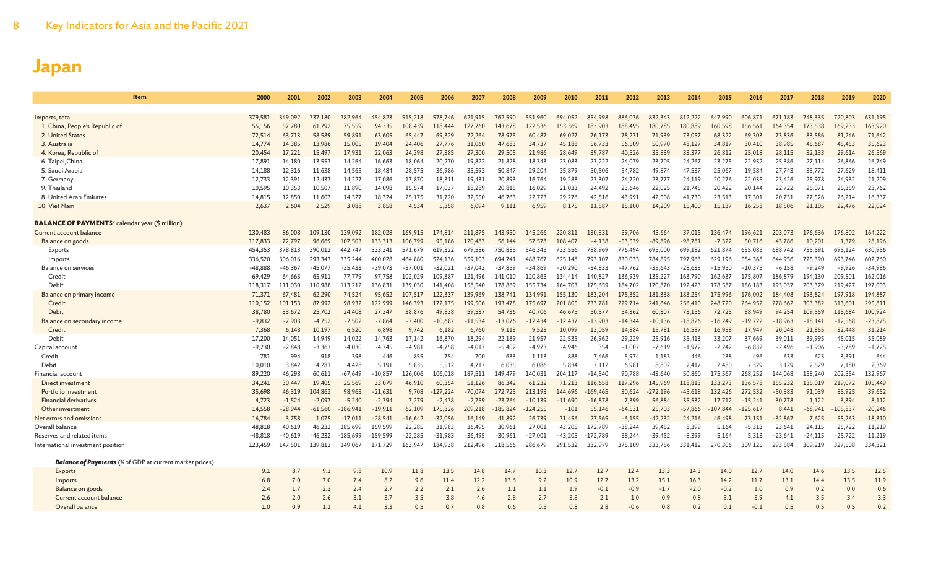| 2000     | 2001                                                                                                                                                                                                                                                                                        | 2002                                                                                                                                                                                                                                                                                            | 2003                                                                                                                                                                                                                                                                                              | 2004                                                                                                                                                                                                                                                                                               | 2005                                                                                                                                                                                                                                                                                                 | 2006                                                                                                                                                                                                                                                                                             | 2007                                                                                                                                                                                                                                                                                               | 2008                                                                                                                                                                                                                                                                                            | 2009                                                                                                                                                                                                                                                                                          | 2010                                                                                                                                                                                                                                                                                            | 2011                                                                                                                                                                                                                                                                                        | 2012                                                                                                                                                                                                                                                                                                   | 2013                                                                                                                                                                                                                                                                                              | 2014                                                                                                                                                                                                                                                                                                 | 2015                                                                                                                                                                                                                                                                                           | 2016                                                                                                                                                                                                                                                                                               | 2017                                                                                                                                                                                                                                                                                             | 2018                                                                                                                                                                                                                                                                                          | 2019                                                                                                                                                                                                                                                                                      | 2020                                                                                                                                                                                                                                                                                       |
|----------|---------------------------------------------------------------------------------------------------------------------------------------------------------------------------------------------------------------------------------------------------------------------------------------------|-------------------------------------------------------------------------------------------------------------------------------------------------------------------------------------------------------------------------------------------------------------------------------------------------|---------------------------------------------------------------------------------------------------------------------------------------------------------------------------------------------------------------------------------------------------------------------------------------------------|----------------------------------------------------------------------------------------------------------------------------------------------------------------------------------------------------------------------------------------------------------------------------------------------------|------------------------------------------------------------------------------------------------------------------------------------------------------------------------------------------------------------------------------------------------------------------------------------------------------|--------------------------------------------------------------------------------------------------------------------------------------------------------------------------------------------------------------------------------------------------------------------------------------------------|----------------------------------------------------------------------------------------------------------------------------------------------------------------------------------------------------------------------------------------------------------------------------------------------------|-------------------------------------------------------------------------------------------------------------------------------------------------------------------------------------------------------------------------------------------------------------------------------------------------|-----------------------------------------------------------------------------------------------------------------------------------------------------------------------------------------------------------------------------------------------------------------------------------------------|-------------------------------------------------------------------------------------------------------------------------------------------------------------------------------------------------------------------------------------------------------------------------------------------------|---------------------------------------------------------------------------------------------------------------------------------------------------------------------------------------------------------------------------------------------------------------------------------------------|--------------------------------------------------------------------------------------------------------------------------------------------------------------------------------------------------------------------------------------------------------------------------------------------------------|---------------------------------------------------------------------------------------------------------------------------------------------------------------------------------------------------------------------------------------------------------------------------------------------------|------------------------------------------------------------------------------------------------------------------------------------------------------------------------------------------------------------------------------------------------------------------------------------------------------|------------------------------------------------------------------------------------------------------------------------------------------------------------------------------------------------------------------------------------------------------------------------------------------------|----------------------------------------------------------------------------------------------------------------------------------------------------------------------------------------------------------------------------------------------------------------------------------------------------|--------------------------------------------------------------------------------------------------------------------------------------------------------------------------------------------------------------------------------------------------------------------------------------------------|-----------------------------------------------------------------------------------------------------------------------------------------------------------------------------------------------------------------------------------------------------------------------------------------------|-------------------------------------------------------------------------------------------------------------------------------------------------------------------------------------------------------------------------------------------------------------------------------------------|--------------------------------------------------------------------------------------------------------------------------------------------------------------------------------------------------------------------------------------------------------------------------------------------|
|          |                                                                                                                                                                                                                                                                                             |                                                                                                                                                                                                                                                                                                 |                                                                                                                                                                                                                                                                                                   |                                                                                                                                                                                                                                                                                                    |                                                                                                                                                                                                                                                                                                      |                                                                                                                                                                                                                                                                                                  |                                                                                                                                                                                                                                                                                                    |                                                                                                                                                                                                                                                                                                 |                                                                                                                                                                                                                                                                                               |                                                                                                                                                                                                                                                                                                 |                                                                                                                                                                                                                                                                                             |                                                                                                                                                                                                                                                                                                        |                                                                                                                                                                                                                                                                                                   |                                                                                                                                                                                                                                                                                                      |                                                                                                                                                                                                                                                                                                |                                                                                                                                                                                                                                                                                                    |                                                                                                                                                                                                                                                                                                  |                                                                                                                                                                                                                                                                                               |                                                                                                                                                                                                                                                                                           |                                                                                                                                                                                                                                                                                            |
|          |                                                                                                                                                                                                                                                                                             |                                                                                                                                                                                                                                                                                                 |                                                                                                                                                                                                                                                                                                   |                                                                                                                                                                                                                                                                                                    |                                                                                                                                                                                                                                                                                                      |                                                                                                                                                                                                                                                                                                  |                                                                                                                                                                                                                                                                                                    |                                                                                                                                                                                                                                                                                                 |                                                                                                                                                                                                                                                                                               |                                                                                                                                                                                                                                                                                                 |                                                                                                                                                                                                                                                                                             |                                                                                                                                                                                                                                                                                                        |                                                                                                                                                                                                                                                                                                   |                                                                                                                                                                                                                                                                                                      |                                                                                                                                                                                                                                                                                                |                                                                                                                                                                                                                                                                                                    |                                                                                                                                                                                                                                                                                                  |                                                                                                                                                                                                                                                                                               |                                                                                                                                                                                                                                                                                           | 631,195                                                                                                                                                                                                                                                                                    |
|          |                                                                                                                                                                                                                                                                                             |                                                                                                                                                                                                                                                                                                 |                                                                                                                                                                                                                                                                                                   |                                                                                                                                                                                                                                                                                                    |                                                                                                                                                                                                                                                                                                      |                                                                                                                                                                                                                                                                                                  |                                                                                                                                                                                                                                                                                                    |                                                                                                                                                                                                                                                                                                 |                                                                                                                                                                                                                                                                                               |                                                                                                                                                                                                                                                                                                 |                                                                                                                                                                                                                                                                                             |                                                                                                                                                                                                                                                                                                        |                                                                                                                                                                                                                                                                                                   |                                                                                                                                                                                                                                                                                                      |                                                                                                                                                                                                                                                                                                |                                                                                                                                                                                                                                                                                                    |                                                                                                                                                                                                                                                                                                  |                                                                                                                                                                                                                                                                                               |                                                                                                                                                                                                                                                                                           | 163,920                                                                                                                                                                                                                                                                                    |
|          |                                                                                                                                                                                                                                                                                             |                                                                                                                                                                                                                                                                                                 |                                                                                                                                                                                                                                                                                                   |                                                                                                                                                                                                                                                                                                    |                                                                                                                                                                                                                                                                                                      |                                                                                                                                                                                                                                                                                                  |                                                                                                                                                                                                                                                                                                    |                                                                                                                                                                                                                                                                                                 |                                                                                                                                                                                                                                                                                               |                                                                                                                                                                                                                                                                                                 |                                                                                                                                                                                                                                                                                             |                                                                                                                                                                                                                                                                                                        |                                                                                                                                                                                                                                                                                                   |                                                                                                                                                                                                                                                                                                      |                                                                                                                                                                                                                                                                                                |                                                                                                                                                                                                                                                                                                    |                                                                                                                                                                                                                                                                                                  |                                                                                                                                                                                                                                                                                               |                                                                                                                                                                                                                                                                                           | 71,642                                                                                                                                                                                                                                                                                     |
|          |                                                                                                                                                                                                                                                                                             |                                                                                                                                                                                                                                                                                                 |                                                                                                                                                                                                                                                                                                   |                                                                                                                                                                                                                                                                                                    |                                                                                                                                                                                                                                                                                                      |                                                                                                                                                                                                                                                                                                  |                                                                                                                                                                                                                                                                                                    |                                                                                                                                                                                                                                                                                                 |                                                                                                                                                                                                                                                                                               |                                                                                                                                                                                                                                                                                                 |                                                                                                                                                                                                                                                                                             |                                                                                                                                                                                                                                                                                                        |                                                                                                                                                                                                                                                                                                   |                                                                                                                                                                                                                                                                                                      |                                                                                                                                                                                                                                                                                                |                                                                                                                                                                                                                                                                                                    |                                                                                                                                                                                                                                                                                                  |                                                                                                                                                                                                                                                                                               |                                                                                                                                                                                                                                                                                           | 35,623<br>26,569                                                                                                                                                                                                                                                                           |
|          |                                                                                                                                                                                                                                                                                             |                                                                                                                                                                                                                                                                                                 |                                                                                                                                                                                                                                                                                                   |                                                                                                                                                                                                                                                                                                    |                                                                                                                                                                                                                                                                                                      |                                                                                                                                                                                                                                                                                                  |                                                                                                                                                                                                                                                                                                    |                                                                                                                                                                                                                                                                                                 |                                                                                                                                                                                                                                                                                               |                                                                                                                                                                                                                                                                                                 |                                                                                                                                                                                                                                                                                             |                                                                                                                                                                                                                                                                                                        |                                                                                                                                                                                                                                                                                                   |                                                                                                                                                                                                                                                                                                      |                                                                                                                                                                                                                                                                                                |                                                                                                                                                                                                                                                                                                    |                                                                                                                                                                                                                                                                                                  |                                                                                                                                                                                                                                                                                               |                                                                                                                                                                                                                                                                                           | 26,749                                                                                                                                                                                                                                                                                     |
|          |                                                                                                                                                                                                                                                                                             |                                                                                                                                                                                                                                                                                                 |                                                                                                                                                                                                                                                                                                   |                                                                                                                                                                                                                                                                                                    |                                                                                                                                                                                                                                                                                                      |                                                                                                                                                                                                                                                                                                  |                                                                                                                                                                                                                                                                                                    |                                                                                                                                                                                                                                                                                                 |                                                                                                                                                                                                                                                                                               |                                                                                                                                                                                                                                                                                                 |                                                                                                                                                                                                                                                                                             |                                                                                                                                                                                                                                                                                                        |                                                                                                                                                                                                                                                                                                   |                                                                                                                                                                                                                                                                                                      |                                                                                                                                                                                                                                                                                                |                                                                                                                                                                                                                                                                                                    |                                                                                                                                                                                                                                                                                                  |                                                                                                                                                                                                                                                                                               |                                                                                                                                                                                                                                                                                           | 18,411                                                                                                                                                                                                                                                                                     |
|          |                                                                                                                                                                                                                                                                                             |                                                                                                                                                                                                                                                                                                 |                                                                                                                                                                                                                                                                                                   |                                                                                                                                                                                                                                                                                                    |                                                                                                                                                                                                                                                                                                      |                                                                                                                                                                                                                                                                                                  |                                                                                                                                                                                                                                                                                                    |                                                                                                                                                                                                                                                                                                 |                                                                                                                                                                                                                                                                                               |                                                                                                                                                                                                                                                                                                 |                                                                                                                                                                                                                                                                                             |                                                                                                                                                                                                                                                                                                        |                                                                                                                                                                                                                                                                                                   |                                                                                                                                                                                                                                                                                                      |                                                                                                                                                                                                                                                                                                |                                                                                                                                                                                                                                                                                                    |                                                                                                                                                                                                                                                                                                  |                                                                                                                                                                                                                                                                                               |                                                                                                                                                                                                                                                                                           | 21,209                                                                                                                                                                                                                                                                                     |
|          |                                                                                                                                                                                                                                                                                             |                                                                                                                                                                                                                                                                                                 |                                                                                                                                                                                                                                                                                                   |                                                                                                                                                                                                                                                                                                    |                                                                                                                                                                                                                                                                                                      |                                                                                                                                                                                                                                                                                                  |                                                                                                                                                                                                                                                                                                    |                                                                                                                                                                                                                                                                                                 |                                                                                                                                                                                                                                                                                               |                                                                                                                                                                                                                                                                                                 |                                                                                                                                                                                                                                                                                             |                                                                                                                                                                                                                                                                                                        |                                                                                                                                                                                                                                                                                                   |                                                                                                                                                                                                                                                                                                      |                                                                                                                                                                                                                                                                                                |                                                                                                                                                                                                                                                                                                    |                                                                                                                                                                                                                                                                                                  |                                                                                                                                                                                                                                                                                               |                                                                                                                                                                                                                                                                                           | 23,762                                                                                                                                                                                                                                                                                     |
|          |                                                                                                                                                                                                                                                                                             |                                                                                                                                                                                                                                                                                                 |                                                                                                                                                                                                                                                                                                   |                                                                                                                                                                                                                                                                                                    |                                                                                                                                                                                                                                                                                                      |                                                                                                                                                                                                                                                                                                  |                                                                                                                                                                                                                                                                                                    |                                                                                                                                                                                                                                                                                                 |                                                                                                                                                                                                                                                                                               |                                                                                                                                                                                                                                                                                                 |                                                                                                                                                                                                                                                                                             |                                                                                                                                                                                                                                                                                                        |                                                                                                                                                                                                                                                                                                   |                                                                                                                                                                                                                                                                                                      |                                                                                                                                                                                                                                                                                                |                                                                                                                                                                                                                                                                                                    |                                                                                                                                                                                                                                                                                                  |                                                                                                                                                                                                                                                                                               |                                                                                                                                                                                                                                                                                           | 16,337                                                                                                                                                                                                                                                                                     |
| 2,637    | 2,604                                                                                                                                                                                                                                                                                       | 2,529                                                                                                                                                                                                                                                                                           | 3,088                                                                                                                                                                                                                                                                                             | 3,858                                                                                                                                                                                                                                                                                              | 4,534                                                                                                                                                                                                                                                                                                | 5,358                                                                                                                                                                                                                                                                                            | 6,094                                                                                                                                                                                                                                                                                              | 9,111                                                                                                                                                                                                                                                                                           | 6,959                                                                                                                                                                                                                                                                                         | 8,175                                                                                                                                                                                                                                                                                           | 11,587                                                                                                                                                                                                                                                                                      | 15,100                                                                                                                                                                                                                                                                                                 | 14,209                                                                                                                                                                                                                                                                                            | 15,400                                                                                                                                                                                                                                                                                               | 15,137                                                                                                                                                                                                                                                                                         | 16,258                                                                                                                                                                                                                                                                                             | 18,506                                                                                                                                                                                                                                                                                           | 21,105                                                                                                                                                                                                                                                                                        | 22,476                                                                                                                                                                                                                                                                                    | 22,024                                                                                                                                                                                                                                                                                     |
|          |                                                                                                                                                                                                                                                                                             |                                                                                                                                                                                                                                                                                                 |                                                                                                                                                                                                                                                                                                   |                                                                                                                                                                                                                                                                                                    |                                                                                                                                                                                                                                                                                                      |                                                                                                                                                                                                                                                                                                  |                                                                                                                                                                                                                                                                                                    |                                                                                                                                                                                                                                                                                                 |                                                                                                                                                                                                                                                                                               |                                                                                                                                                                                                                                                                                                 |                                                                                                                                                                                                                                                                                             |                                                                                                                                                                                                                                                                                                        |                                                                                                                                                                                                                                                                                                   |                                                                                                                                                                                                                                                                                                      |                                                                                                                                                                                                                                                                                                |                                                                                                                                                                                                                                                                                                    |                                                                                                                                                                                                                                                                                                  |                                                                                                                                                                                                                                                                                               |                                                                                                                                                                                                                                                                                           |                                                                                                                                                                                                                                                                                            |
|          |                                                                                                                                                                                                                                                                                             |                                                                                                                                                                                                                                                                                                 |                                                                                                                                                                                                                                                                                                   |                                                                                                                                                                                                                                                                                                    |                                                                                                                                                                                                                                                                                                      |                                                                                                                                                                                                                                                                                                  |                                                                                                                                                                                                                                                                                                    |                                                                                                                                                                                                                                                                                                 |                                                                                                                                                                                                                                                                                               |                                                                                                                                                                                                                                                                                                 |                                                                                                                                                                                                                                                                                             |                                                                                                                                                                                                                                                                                                        |                                                                                                                                                                                                                                                                                                   |                                                                                                                                                                                                                                                                                                      |                                                                                                                                                                                                                                                                                                |                                                                                                                                                                                                                                                                                                    |                                                                                                                                                                                                                                                                                                  |                                                                                                                                                                                                                                                                                               |                                                                                                                                                                                                                                                                                           | 164,222                                                                                                                                                                                                                                                                                    |
|          |                                                                                                                                                                                                                                                                                             |                                                                                                                                                                                                                                                                                                 |                                                                                                                                                                                                                                                                                                   |                                                                                                                                                                                                                                                                                                    |                                                                                                                                                                                                                                                                                                      |                                                                                                                                                                                                                                                                                                  |                                                                                                                                                                                                                                                                                                    |                                                                                                                                                                                                                                                                                                 |                                                                                                                                                                                                                                                                                               |                                                                                                                                                                                                                                                                                                 |                                                                                                                                                                                                                                                                                             |                                                                                                                                                                                                                                                                                                        |                                                                                                                                                                                                                                                                                                   |                                                                                                                                                                                                                                                                                                      |                                                                                                                                                                                                                                                                                                |                                                                                                                                                                                                                                                                                                    |                                                                                                                                                                                                                                                                                                  |                                                                                                                                                                                                                                                                                               |                                                                                                                                                                                                                                                                                           | 28,196                                                                                                                                                                                                                                                                                     |
|          |                                                                                                                                                                                                                                                                                             |                                                                                                                                                                                                                                                                                                 |                                                                                                                                                                                                                                                                                                   |                                                                                                                                                                                                                                                                                                    |                                                                                                                                                                                                                                                                                                      |                                                                                                                                                                                                                                                                                                  |                                                                                                                                                                                                                                                                                                    |                                                                                                                                                                                                                                                                                                 |                                                                                                                                                                                                                                                                                               |                                                                                                                                                                                                                                                                                                 |                                                                                                                                                                                                                                                                                             |                                                                                                                                                                                                                                                                                                        |                                                                                                                                                                                                                                                                                                   |                                                                                                                                                                                                                                                                                                      |                                                                                                                                                                                                                                                                                                |                                                                                                                                                                                                                                                                                                    |                                                                                                                                                                                                                                                                                                  |                                                                                                                                                                                                                                                                                               |                                                                                                                                                                                                                                                                                           | 630,956                                                                                                                                                                                                                                                                                    |
|          |                                                                                                                                                                                                                                                                                             |                                                                                                                                                                                                                                                                                                 |                                                                                                                                                                                                                                                                                                   |                                                                                                                                                                                                                                                                                                    |                                                                                                                                                                                                                                                                                                      |                                                                                                                                                                                                                                                                                                  |                                                                                                                                                                                                                                                                                                    |                                                                                                                                                                                                                                                                                                 |                                                                                                                                                                                                                                                                                               |                                                                                                                                                                                                                                                                                                 |                                                                                                                                                                                                                                                                                             |                                                                                                                                                                                                                                                                                                        |                                                                                                                                                                                                                                                                                                   |                                                                                                                                                                                                                                                                                                      |                                                                                                                                                                                                                                                                                                |                                                                                                                                                                                                                                                                                                    |                                                                                                                                                                                                                                                                                                  |                                                                                                                                                                                                                                                                                               |                                                                                                                                                                                                                                                                                           | 602,760                                                                                                                                                                                                                                                                                    |
|          |                                                                                                                                                                                                                                                                                             |                                                                                                                                                                                                                                                                                                 |                                                                                                                                                                                                                                                                                                   |                                                                                                                                                                                                                                                                                                    |                                                                                                                                                                                                                                                                                                      |                                                                                                                                                                                                                                                                                                  |                                                                                                                                                                                                                                                                                                    |                                                                                                                                                                                                                                                                                                 |                                                                                                                                                                                                                                                                                               |                                                                                                                                                                                                                                                                                                 |                                                                                                                                                                                                                                                                                             |                                                                                                                                                                                                                                                                                                        |                                                                                                                                                                                                                                                                                                   |                                                                                                                                                                                                                                                                                                      |                                                                                                                                                                                                                                                                                                |                                                                                                                                                                                                                                                                                                    |                                                                                                                                                                                                                                                                                                  |                                                                                                                                                                                                                                                                                               |                                                                                                                                                                                                                                                                                           | $-34,986$                                                                                                                                                                                                                                                                                  |
| 69,429   | 64,663                                                                                                                                                                                                                                                                                      | 65,911                                                                                                                                                                                                                                                                                          | 77,779                                                                                                                                                                                                                                                                                            | 97,758                                                                                                                                                                                                                                                                                             | 102,029                                                                                                                                                                                                                                                                                              | 109.387                                                                                                                                                                                                                                                                                          | 121,496                                                                                                                                                                                                                                                                                            | 141,010                                                                                                                                                                                                                                                                                         | 120,865                                                                                                                                                                                                                                                                                       | 134,414                                                                                                                                                                                                                                                                                         | 140,827                                                                                                                                                                                                                                                                                     | 136,939                                                                                                                                                                                                                                                                                                | 135,227                                                                                                                                                                                                                                                                                           | 163,790                                                                                                                                                                                                                                                                                              | 162,637                                                                                                                                                                                                                                                                                        | 175,807                                                                                                                                                                                                                                                                                            | 186,879                                                                                                                                                                                                                                                                                          | 194,130                                                                                                                                                                                                                                                                                       | 209,501                                                                                                                                                                                                                                                                                   | 162,016                                                                                                                                                                                                                                                                                    |
| 118,317  | 111,030                                                                                                                                                                                                                                                                                     | 110,988                                                                                                                                                                                                                                                                                         | 113,212                                                                                                                                                                                                                                                                                           | 136,831                                                                                                                                                                                                                                                                                            | 139,030                                                                                                                                                                                                                                                                                              | 141,408                                                                                                                                                                                                                                                                                          | 158,540                                                                                                                                                                                                                                                                                            | 178,869                                                                                                                                                                                                                                                                                         | 155.734                                                                                                                                                                                                                                                                                       | 164,703                                                                                                                                                                                                                                                                                         | 175,659                                                                                                                                                                                                                                                                                     | 184,702                                                                                                                                                                                                                                                                                                | 170,870                                                                                                                                                                                                                                                                                           | 192,423                                                                                                                                                                                                                                                                                              | 178,587                                                                                                                                                                                                                                                                                        | 186,183                                                                                                                                                                                                                                                                                            | 193,037                                                                                                                                                                                                                                                                                          | 203,379                                                                                                                                                                                                                                                                                       | 219,427                                                                                                                                                                                                                                                                                   | 197,003                                                                                                                                                                                                                                                                                    |
| 71,371   | 67,481                                                                                                                                                                                                                                                                                      | 62,290                                                                                                                                                                                                                                                                                          | 74,524                                                                                                                                                                                                                                                                                            | 95,652                                                                                                                                                                                                                                                                                             | 107,517                                                                                                                                                                                                                                                                                              | 122,337                                                                                                                                                                                                                                                                                          | 139,969                                                                                                                                                                                                                                                                                            | 138,741                                                                                                                                                                                                                                                                                         | 134,991                                                                                                                                                                                                                                                                                       | 155,130                                                                                                                                                                                                                                                                                         | 183,204                                                                                                                                                                                                                                                                                     | 175,352                                                                                                                                                                                                                                                                                                | 181.338                                                                                                                                                                                                                                                                                           | 183,254                                                                                                                                                                                                                                                                                              | 175,996                                                                                                                                                                                                                                                                                        | 176,002                                                                                                                                                                                                                                                                                            | 184,408                                                                                                                                                                                                                                                                                          | 193,824                                                                                                                                                                                                                                                                                       | 197,918                                                                                                                                                                                                                                                                                   | 194,887                                                                                                                                                                                                                                                                                    |
| 110,152  | 101,153                                                                                                                                                                                                                                                                                     | 87,992                                                                                                                                                                                                                                                                                          | 98,932                                                                                                                                                                                                                                                                                            | 122,999                                                                                                                                                                                                                                                                                            | 146,393                                                                                                                                                                                                                                                                                              | 172,175                                                                                                                                                                                                                                                                                          | 199,506                                                                                                                                                                                                                                                                                            | 193,478                                                                                                                                                                                                                                                                                         | 175,697                                                                                                                                                                                                                                                                                       | 201,805                                                                                                                                                                                                                                                                                         | 233,781                                                                                                                                                                                                                                                                                     | 229,714                                                                                                                                                                                                                                                                                                | 241,646                                                                                                                                                                                                                                                                                           | 256,410                                                                                                                                                                                                                                                                                              | 248,720                                                                                                                                                                                                                                                                                        | 264,952                                                                                                                                                                                                                                                                                            | 278,662                                                                                                                                                                                                                                                                                          | 303,382                                                                                                                                                                                                                                                                                       | 313,601                                                                                                                                                                                                                                                                                   | 295,811                                                                                                                                                                                                                                                                                    |
| 38,780   | 33.672                                                                                                                                                                                                                                                                                      | 25,702                                                                                                                                                                                                                                                                                          | 24,408                                                                                                                                                                                                                                                                                            | 27,347                                                                                                                                                                                                                                                                                             | 38,876                                                                                                                                                                                                                                                                                               | 49,838                                                                                                                                                                                                                                                                                           | 59.537                                                                                                                                                                                                                                                                                             | 54,736                                                                                                                                                                                                                                                                                          | 40,706                                                                                                                                                                                                                                                                                        | 46.675                                                                                                                                                                                                                                                                                          | 50,577                                                                                                                                                                                                                                                                                      | 54,362                                                                                                                                                                                                                                                                                                 | 60,307                                                                                                                                                                                                                                                                                            | 73.156                                                                                                                                                                                                                                                                                               | 72,725                                                                                                                                                                                                                                                                                         | 88,949                                                                                                                                                                                                                                                                                             | 94,254                                                                                                                                                                                                                                                                                           | 109.559                                                                                                                                                                                                                                                                                       | 115.684                                                                                                                                                                                                                                                                                   | 100,924                                                                                                                                                                                                                                                                                    |
| $-9,832$ | $-7,903$                                                                                                                                                                                                                                                                                    | $-4,752$                                                                                                                                                                                                                                                                                        | $-7,502$                                                                                                                                                                                                                                                                                          | $-7,864$                                                                                                                                                                                                                                                                                           | $-7,400$                                                                                                                                                                                                                                                                                             | $-10,687$                                                                                                                                                                                                                                                                                        | $-11,534$                                                                                                                                                                                                                                                                                          | $-13,076$                                                                                                                                                                                                                                                                                       | $-12,434$                                                                                                                                                                                                                                                                                     | $-12,437$                                                                                                                                                                                                                                                                                       | $-13,903$                                                                                                                                                                                                                                                                                   | $-14,344$                                                                                                                                                                                                                                                                                              | $-10,136$                                                                                                                                                                                                                                                                                         | $-18,826$                                                                                                                                                                                                                                                                                            | $-16,249$                                                                                                                                                                                                                                                                                      | $-19,722$                                                                                                                                                                                                                                                                                          | $-18,963$                                                                                                                                                                                                                                                                                        | $-18,141$                                                                                                                                                                                                                                                                                     | $-12,568$                                                                                                                                                                                                                                                                                 | $-23,875$                                                                                                                                                                                                                                                                                  |
| 7,368    | 6,148                                                                                                                                                                                                                                                                                       | 10,197                                                                                                                                                                                                                                                                                          | 6,520                                                                                                                                                                                                                                                                                             | 6,898                                                                                                                                                                                                                                                                                              | 9,742                                                                                                                                                                                                                                                                                                | 6,182                                                                                                                                                                                                                                                                                            | 6,760                                                                                                                                                                                                                                                                                              | 9,113                                                                                                                                                                                                                                                                                           | 9,523                                                                                                                                                                                                                                                                                         | 10,099                                                                                                                                                                                                                                                                                          | 13,059                                                                                                                                                                                                                                                                                      | 14,884                                                                                                                                                                                                                                                                                                 | 15,781                                                                                                                                                                                                                                                                                            | 16,587                                                                                                                                                                                                                                                                                               | 16,958                                                                                                                                                                                                                                                                                         | 17,947                                                                                                                                                                                                                                                                                             | 20,048                                                                                                                                                                                                                                                                                           | 21,855                                                                                                                                                                                                                                                                                        | 32,448                                                                                                                                                                                                                                                                                    | 31,214                                                                                                                                                                                                                                                                                     |
| 17,200   | 14,051                                                                                                                                                                                                                                                                                      | 14.949                                                                                                                                                                                                                                                                                          | 14,022                                                                                                                                                                                                                                                                                            | 14.763                                                                                                                                                                                                                                                                                             | 17.142                                                                                                                                                                                                                                                                                               | 16,870                                                                                                                                                                                                                                                                                           | 18,294                                                                                                                                                                                                                                                                                             | 22,189                                                                                                                                                                                                                                                                                          | 21,957                                                                                                                                                                                                                                                                                        | 22,535                                                                                                                                                                                                                                                                                          | 26.962                                                                                                                                                                                                                                                                                      | 29,229                                                                                                                                                                                                                                                                                                 | 25.916                                                                                                                                                                                                                                                                                            | 35.413                                                                                                                                                                                                                                                                                               | 33,207                                                                                                                                                                                                                                                                                         | 37,669                                                                                                                                                                                                                                                                                             | 39.011                                                                                                                                                                                                                                                                                           | 39,995                                                                                                                                                                                                                                                                                        | 45,015                                                                                                                                                                                                                                                                                    | 55,089                                                                                                                                                                                                                                                                                     |
| $-9,230$ | $-2,848$                                                                                                                                                                                                                                                                                    | $-3,363$                                                                                                                                                                                                                                                                                        | $-4,030$                                                                                                                                                                                                                                                                                          | $-4,745$                                                                                                                                                                                                                                                                                           | $-4,981$                                                                                                                                                                                                                                                                                             | $-4,758$                                                                                                                                                                                                                                                                                         | $-4,017$                                                                                                                                                                                                                                                                                           | $-5,402$                                                                                                                                                                                                                                                                                        | $-4,973$                                                                                                                                                                                                                                                                                      | $-4,946$                                                                                                                                                                                                                                                                                        | 354                                                                                                                                                                                                                                                                                         | $-1,007$                                                                                                                                                                                                                                                                                               | $-7,619$                                                                                                                                                                                                                                                                                          | $-1,972$                                                                                                                                                                                                                                                                                             | $-2,242$                                                                                                                                                                                                                                                                                       | $-6,832$                                                                                                                                                                                                                                                                                           | $-2,496$                                                                                                                                                                                                                                                                                         | $-1,906$                                                                                                                                                                                                                                                                                      | $-3,789$                                                                                                                                                                                                                                                                                  | $-1,725$                                                                                                                                                                                                                                                                                   |
| 781      |                                                                                                                                                                                                                                                                                             |                                                                                                                                                                                                                                                                                                 | 398                                                                                                                                                                                                                                                                                               | 446                                                                                                                                                                                                                                                                                                |                                                                                                                                                                                                                                                                                                      | 754                                                                                                                                                                                                                                                                                              | 700                                                                                                                                                                                                                                                                                                | 633                                                                                                                                                                                                                                                                                             | 1,113                                                                                                                                                                                                                                                                                         | 888                                                                                                                                                                                                                                                                                             | 7,466                                                                                                                                                                                                                                                                                       | 5,974                                                                                                                                                                                                                                                                                                  | 1,183                                                                                                                                                                                                                                                                                             | 446                                                                                                                                                                                                                                                                                                  |                                                                                                                                                                                                                                                                                                | 496                                                                                                                                                                                                                                                                                                | 633                                                                                                                                                                                                                                                                                              | 623                                                                                                                                                                                                                                                                                           | 3,391                                                                                                                                                                                                                                                                                     | 644                                                                                                                                                                                                                                                                                        |
|          |                                                                                                                                                                                                                                                                                             |                                                                                                                                                                                                                                                                                                 |                                                                                                                                                                                                                                                                                                   |                                                                                                                                                                                                                                                                                                    |                                                                                                                                                                                                                                                                                                      |                                                                                                                                                                                                                                                                                                  |                                                                                                                                                                                                                                                                                                    |                                                                                                                                                                                                                                                                                                 |                                                                                                                                                                                                                                                                                               |                                                                                                                                                                                                                                                                                                 |                                                                                                                                                                                                                                                                                             |                                                                                                                                                                                                                                                                                                        |                                                                                                                                                                                                                                                                                                   |                                                                                                                                                                                                                                                                                                      |                                                                                                                                                                                                                                                                                                |                                                                                                                                                                                                                                                                                                    |                                                                                                                                                                                                                                                                                                  |                                                                                                                                                                                                                                                                                               |                                                                                                                                                                                                                                                                                           | 2,369                                                                                                                                                                                                                                                                                      |
|          |                                                                                                                                                                                                                                                                                             |                                                                                                                                                                                                                                                                                                 |                                                                                                                                                                                                                                                                                                   |                                                                                                                                                                                                                                                                                                    |                                                                                                                                                                                                                                                                                                      |                                                                                                                                                                                                                                                                                                  |                                                                                                                                                                                                                                                                                                    |                                                                                                                                                                                                                                                                                                 |                                                                                                                                                                                                                                                                                               |                                                                                                                                                                                                                                                                                                 |                                                                                                                                                                                                                                                                                             |                                                                                                                                                                                                                                                                                                        |                                                                                                                                                                                                                                                                                                   |                                                                                                                                                                                                                                                                                                      |                                                                                                                                                                                                                                                                                                |                                                                                                                                                                                                                                                                                                    |                                                                                                                                                                                                                                                                                                  |                                                                                                                                                                                                                                                                                               |                                                                                                                                                                                                                                                                                           | 132,967                                                                                                                                                                                                                                                                                    |
|          |                                                                                                                                                                                                                                                                                             |                                                                                                                                                                                                                                                                                                 |                                                                                                                                                                                                                                                                                                   |                                                                                                                                                                                                                                                                                                    |                                                                                                                                                                                                                                                                                                      |                                                                                                                                                                                                                                                                                                  |                                                                                                                                                                                                                                                                                                    |                                                                                                                                                                                                                                                                                                 |                                                                                                                                                                                                                                                                                               |                                                                                                                                                                                                                                                                                                 |                                                                                                                                                                                                                                                                                             |                                                                                                                                                                                                                                                                                                        |                                                                                                                                                                                                                                                                                                   |                                                                                                                                                                                                                                                                                                      |                                                                                                                                                                                                                                                                                                |                                                                                                                                                                                                                                                                                                    |                                                                                                                                                                                                                                                                                                  |                                                                                                                                                                                                                                                                                               |                                                                                                                                                                                                                                                                                           | 105,449                                                                                                                                                                                                                                                                                    |
|          |                                                                                                                                                                                                                                                                                             |                                                                                                                                                                                                                                                                                                 |                                                                                                                                                                                                                                                                                                   |                                                                                                                                                                                                                                                                                                    |                                                                                                                                                                                                                                                                                                      |                                                                                                                                                                                                                                                                                                  |                                                                                                                                                                                                                                                                                                    |                                                                                                                                                                                                                                                                                                 |                                                                                                                                                                                                                                                                                               |                                                                                                                                                                                                                                                                                                 |                                                                                                                                                                                                                                                                                             |                                                                                                                                                                                                                                                                                                        |                                                                                                                                                                                                                                                                                                   |                                                                                                                                                                                                                                                                                                      |                                                                                                                                                                                                                                                                                                |                                                                                                                                                                                                                                                                                                    |                                                                                                                                                                                                                                                                                                  |                                                                                                                                                                                                                                                                                               |                                                                                                                                                                                                                                                                                           | 39,652                                                                                                                                                                                                                                                                                     |
|          |                                                                                                                                                                                                                                                                                             |                                                                                                                                                                                                                                                                                                 |                                                                                                                                                                                                                                                                                                   |                                                                                                                                                                                                                                                                                                    |                                                                                                                                                                                                                                                                                                      |                                                                                                                                                                                                                                                                                                  |                                                                                                                                                                                                                                                                                                    |                                                                                                                                                                                                                                                                                                 |                                                                                                                                                                                                                                                                                               |                                                                                                                                                                                                                                                                                                 |                                                                                                                                                                                                                                                                                             |                                                                                                                                                                                                                                                                                                        |                                                                                                                                                                                                                                                                                                   |                                                                                                                                                                                                                                                                                                      |                                                                                                                                                                                                                                                                                                |                                                                                                                                                                                                                                                                                                    |                                                                                                                                                                                                                                                                                                  |                                                                                                                                                                                                                                                                                               |                                                                                                                                                                                                                                                                                           | 8,112                                                                                                                                                                                                                                                                                      |
|          |                                                                                                                                                                                                                                                                                             |                                                                                                                                                                                                                                                                                                 |                                                                                                                                                                                                                                                                                                   |                                                                                                                                                                                                                                                                                                    |                                                                                                                                                                                                                                                                                                      |                                                                                                                                                                                                                                                                                                  |                                                                                                                                                                                                                                                                                                    |                                                                                                                                                                                                                                                                                                 |                                                                                                                                                                                                                                                                                               |                                                                                                                                                                                                                                                                                                 |                                                                                                                                                                                                                                                                                             |                                                                                                                                                                                                                                                                                                        |                                                                                                                                                                                                                                                                                                   |                                                                                                                                                                                                                                                                                                      |                                                                                                                                                                                                                                                                                                |                                                                                                                                                                                                                                                                                                    |                                                                                                                                                                                                                                                                                                  |                                                                                                                                                                                                                                                                                               |                                                                                                                                                                                                                                                                                           | $-20,246$                                                                                                                                                                                                                                                                                  |
|          |                                                                                                                                                                                                                                                                                             |                                                                                                                                                                                                                                                                                                 |                                                                                                                                                                                                                                                                                                   |                                                                                                                                                                                                                                                                                                    |                                                                                                                                                                                                                                                                                                      |                                                                                                                                                                                                                                                                                                  |                                                                                                                                                                                                                                                                                                    |                                                                                                                                                                                                                                                                                                 |                                                                                                                                                                                                                                                                                               |                                                                                                                                                                                                                                                                                                 |                                                                                                                                                                                                                                                                                             |                                                                                                                                                                                                                                                                                                        |                                                                                                                                                                                                                                                                                                   |                                                                                                                                                                                                                                                                                                      |                                                                                                                                                                                                                                                                                                |                                                                                                                                                                                                                                                                                                    |                                                                                                                                                                                                                                                                                                  |                                                                                                                                                                                                                                                                                               |                                                                                                                                                                                                                                                                                           | $-18,310$                                                                                                                                                                                                                                                                                  |
|          |                                                                                                                                                                                                                                                                                             |                                                                                                                                                                                                                                                                                                 |                                                                                                                                                                                                                                                                                                   |                                                                                                                                                                                                                                                                                                    |                                                                                                                                                                                                                                                                                                      |                                                                                                                                                                                                                                                                                                  |                                                                                                                                                                                                                                                                                                    |                                                                                                                                                                                                                                                                                                 |                                                                                                                                                                                                                                                                                               |                                                                                                                                                                                                                                                                                                 |                                                                                                                                                                                                                                                                                             |                                                                                                                                                                                                                                                                                                        |                                                                                                                                                                                                                                                                                                   |                                                                                                                                                                                                                                                                                                      |                                                                                                                                                                                                                                                                                                |                                                                                                                                                                                                                                                                                                    |                                                                                                                                                                                                                                                                                                  |                                                                                                                                                                                                                                                                                               |                                                                                                                                                                                                                                                                                           | 11,219<br>$-11,219$                                                                                                                                                                                                                                                                        |
|          |                                                                                                                                                                                                                                                                                             |                                                                                                                                                                                                                                                                                                 |                                                                                                                                                                                                                                                                                                   |                                                                                                                                                                                                                                                                                                    |                                                                                                                                                                                                                                                                                                      |                                                                                                                                                                                                                                                                                                  |                                                                                                                                                                                                                                                                                                    |                                                                                                                                                                                                                                                                                                 |                                                                                                                                                                                                                                                                                               |                                                                                                                                                                                                                                                                                                 |                                                                                                                                                                                                                                                                                             |                                                                                                                                                                                                                                                                                                        |                                                                                                                                                                                                                                                                                                   |                                                                                                                                                                                                                                                                                                      |                                                                                                                                                                                                                                                                                                |                                                                                                                                                                                                                                                                                                    |                                                                                                                                                                                                                                                                                                  |                                                                                                                                                                                                                                                                                               |                                                                                                                                                                                                                                                                                           | 334,321                                                                                                                                                                                                                                                                                    |
|          |                                                                                                                                                                                                                                                                                             |                                                                                                                                                                                                                                                                                                 |                                                                                                                                                                                                                                                                                                   |                                                                                                                                                                                                                                                                                                    |                                                                                                                                                                                                                                                                                                      |                                                                                                                                                                                                                                                                                                  |                                                                                                                                                                                                                                                                                                    |                                                                                                                                                                                                                                                                                                 |                                                                                                                                                                                                                                                                                               |                                                                                                                                                                                                                                                                                                 |                                                                                                                                                                                                                                                                                             |                                                                                                                                                                                                                                                                                                        |                                                                                                                                                                                                                                                                                                   |                                                                                                                                                                                                                                                                                                      |                                                                                                                                                                                                                                                                                                |                                                                                                                                                                                                                                                                                                    |                                                                                                                                                                                                                                                                                                  |                                                                                                                                                                                                                                                                                               |                                                                                                                                                                                                                                                                                           |                                                                                                                                                                                                                                                                                            |
|          |                                                                                                                                                                                                                                                                                             |                                                                                                                                                                                                                                                                                                 |                                                                                                                                                                                                                                                                                                   |                                                                                                                                                                                                                                                                                                    |                                                                                                                                                                                                                                                                                                      |                                                                                                                                                                                                                                                                                                  |                                                                                                                                                                                                                                                                                                    |                                                                                                                                                                                                                                                                                                 |                                                                                                                                                                                                                                                                                               |                                                                                                                                                                                                                                                                                                 |                                                                                                                                                                                                                                                                                             |                                                                                                                                                                                                                                                                                                        |                                                                                                                                                                                                                                                                                                   |                                                                                                                                                                                                                                                                                                      |                                                                                                                                                                                                                                                                                                |                                                                                                                                                                                                                                                                                                    |                                                                                                                                                                                                                                                                                                  |                                                                                                                                                                                                                                                                                               |                                                                                                                                                                                                                                                                                           |                                                                                                                                                                                                                                                                                            |
| 9.1      | 8.7                                                                                                                                                                                                                                                                                         | 9.3                                                                                                                                                                                                                                                                                             | 9.8                                                                                                                                                                                                                                                                                               | 10.9                                                                                                                                                                                                                                                                                               | 11.8                                                                                                                                                                                                                                                                                                 | 13.5                                                                                                                                                                                                                                                                                             | 14.8                                                                                                                                                                                                                                                                                               | 14.7                                                                                                                                                                                                                                                                                            | 10.3                                                                                                                                                                                                                                                                                          | 12.7                                                                                                                                                                                                                                                                                            | 12.7                                                                                                                                                                                                                                                                                        | 12.4                                                                                                                                                                                                                                                                                                   | 13.3                                                                                                                                                                                                                                                                                              | 14.3                                                                                                                                                                                                                                                                                                 | 14.0                                                                                                                                                                                                                                                                                           | 12.7                                                                                                                                                                                                                                                                                               | 14.0                                                                                                                                                                                                                                                                                             | 14.6                                                                                                                                                                                                                                                                                          | 13.5                                                                                                                                                                                                                                                                                      | 12.5                                                                                                                                                                                                                                                                                       |
|          |                                                                                                                                                                                                                                                                                             |                                                                                                                                                                                                                                                                                                 |                                                                                                                                                                                                                                                                                                   |                                                                                                                                                                                                                                                                                                    |                                                                                                                                                                                                                                                                                                      |                                                                                                                                                                                                                                                                                                  |                                                                                                                                                                                                                                                                                                    |                                                                                                                                                                                                                                                                                                 |                                                                                                                                                                                                                                                                                               |                                                                                                                                                                                                                                                                                                 |                                                                                                                                                                                                                                                                                             |                                                                                                                                                                                                                                                                                                        |                                                                                                                                                                                                                                                                                                   |                                                                                                                                                                                                                                                                                                      |                                                                                                                                                                                                                                                                                                |                                                                                                                                                                                                                                                                                                    |                                                                                                                                                                                                                                                                                                  |                                                                                                                                                                                                                                                                                               |                                                                                                                                                                                                                                                                                           | 11.9                                                                                                                                                                                                                                                                                       |
|          | 1.7                                                                                                                                                                                                                                                                                         | 2.3                                                                                                                                                                                                                                                                                             | 2.4                                                                                                                                                                                                                                                                                               | 2.7                                                                                                                                                                                                                                                                                                | 2.2                                                                                                                                                                                                                                                                                                  | 2.1                                                                                                                                                                                                                                                                                              | 2.6                                                                                                                                                                                                                                                                                                | 1.1                                                                                                                                                                                                                                                                                             | 1.1                                                                                                                                                                                                                                                                                           | 1.9                                                                                                                                                                                                                                                                                             | $-0.1$                                                                                                                                                                                                                                                                                      | $-0.9$                                                                                                                                                                                                                                                                                                 | $-1.7$                                                                                                                                                                                                                                                                                            | $-2.0$                                                                                                                                                                                                                                                                                               | $-0.2$                                                                                                                                                                                                                                                                                         | 1.0                                                                                                                                                                                                                                                                                                | 0.9                                                                                                                                                                                                                                                                                              | 0.2                                                                                                                                                                                                                                                                                           | 0.0                                                                                                                                                                                                                                                                                       | 0.6                                                                                                                                                                                                                                                                                        |
|          |                                                                                                                                                                                                                                                                                             |                                                                                                                                                                                                                                                                                                 |                                                                                                                                                                                                                                                                                                   |                                                                                                                                                                                                                                                                                                    |                                                                                                                                                                                                                                                                                                      |                                                                                                                                                                                                                                                                                                  |                                                                                                                                                                                                                                                                                                    |                                                                                                                                                                                                                                                                                                 |                                                                                                                                                                                                                                                                                               |                                                                                                                                                                                                                                                                                                 |                                                                                                                                                                                                                                                                                             |                                                                                                                                                                                                                                                                                                        |                                                                                                                                                                                                                                                                                                   |                                                                                                                                                                                                                                                                                                      |                                                                                                                                                                                                                                                                                                |                                                                                                                                                                                                                                                                                                    |                                                                                                                                                                                                                                                                                                  |                                                                                                                                                                                                                                                                                               |                                                                                                                                                                                                                                                                                           | 3.3                                                                                                                                                                                                                                                                                        |
|          |                                                                                                                                                                                                                                                                                             |                                                                                                                                                                                                                                                                                                 |                                                                                                                                                                                                                                                                                                   |                                                                                                                                                                                                                                                                                                    |                                                                                                                                                                                                                                                                                                      |                                                                                                                                                                                                                                                                                                  |                                                                                                                                                                                                                                                                                                    |                                                                                                                                                                                                                                                                                                 |                                                                                                                                                                                                                                                                                               |                                                                                                                                                                                                                                                                                                 |                                                                                                                                                                                                                                                                                             |                                                                                                                                                                                                                                                                                                        |                                                                                                                                                                                                                                                                                                   |                                                                                                                                                                                                                                                                                                      |                                                                                                                                                                                                                                                                                                |                                                                                                                                                                                                                                                                                                    |                                                                                                                                                                                                                                                                                                  |                                                                                                                                                                                                                                                                                               |                                                                                                                                                                                                                                                                                           | 0.2                                                                                                                                                                                                                                                                                        |
|          | 379,581<br>55,156<br>72,514<br>14,774<br>20,454<br>17,891<br>14.188<br>12,733<br>10,595<br>14.815<br>130,483<br>117,833<br>454,353<br>336,520<br>$-48,888$<br>10,010<br>89,220<br>34,241<br>35,698<br>4,723<br>14,558<br>16,784<br>48.818<br>-48,818<br>123,459<br>6.8<br>2.4<br>2.6<br>1.0 | 349,092<br>57,780<br>63,713<br>14,385<br>17,221<br>14,180<br>12,316<br>12,391<br>10,353<br>12,850<br>86,008<br>72,797<br>378,813<br>306,016<br>$-46,367$<br>994<br>3,842<br>46,298<br>30,447<br>46,319<br>$-1,524$<br>$-28,944$<br>3,758<br>40,619<br>$-40,619$<br>147,501<br>7.0<br>2.0<br>0.9 | 337,180<br>61,792<br>58,589<br>13.986<br>15,497<br>13,553<br>11,638<br>12,437<br>10,507<br>11,607<br>109,130<br>96,669<br>390.012<br>293.343<br>$-45,077$<br>918<br>4,281<br>60,611<br>19,405<br>104,863<br>$-2,097$<br>$-61,560$<br>1,075<br>46,232<br>$-46,232$<br>139,813<br>7.0<br>2.6<br>1.1 | 382,964<br>75,559<br>59,891<br>15,005<br>17,931<br>14,264<br>14,565<br>14,227<br>11,890<br>14,327<br>139,092<br>107,503<br>442,747<br>335,244<br>$-35,433$<br>4,428<br>$-67,649$<br>25,569<br>98,963<br>$-5,240$<br>-186,941<br>$-17.011$<br>185,699<br>$-185,699$<br>149,067<br>7.4<br>3.1<br>4.1 | 454,823<br>94,335<br>63,605<br>19,404<br>22,063<br>16,663<br>18,484<br>17,086<br>14,098<br>18,324<br>182,028<br>133,313<br>533,341<br>400,028<br>$-39,073$<br>5,191<br>$-10,857$<br>33,079<br>$-21,631$<br>$-2,394$<br>$-19,911$<br>$-28,541$<br>159,599<br>-159,599<br>171,729<br>8.2<br>3.7<br>3.3 | 515,218<br>108,439<br>65,447<br>24,406<br>24,398<br>18,064<br>28,575<br>17,870<br>15,574<br>25,175<br>169.915<br>106,799<br>571,679<br>464,880<br>$-37,001$<br>855<br>5,835<br>126,006<br>46,910<br>9,708<br>7,279<br>62,109<br>$-16,642$<br>22,285<br>$-22,285$<br>163,947<br>9.6<br>3.5<br>0.5 | 578,746<br>118,444<br>69,329<br>27,776<br>27,385<br>20,270<br>36,986<br>18,311<br>17,037<br>31,720<br>174,814<br>95,186<br>619.322<br>524,136<br>$-32,021$<br>5,512<br>106,018<br>60,354<br>$-127,224$<br>$-2,438$<br>175,326<br>$-32,056$<br>31,983<br>$-31,983$<br>184,938<br>11.4<br>3.8<br>0.7 | 621.915<br>127,760<br>72,264<br>31,060<br>27,300<br>19,822<br>35,593<br>19,431<br>18,289<br>32,550<br>211,875<br>120,483<br>679,586<br>559,103<br>$-37,043$<br>4,717<br>187,511<br>51,126<br>$-70,074$<br>$-2,759$<br>209,218<br>16,149<br>36,495<br>$-36,495$<br>212,496<br>12.2<br>4.6<br>0.8 | 762.590<br>143,678<br>78,975<br>47,683<br>29,505<br>21,828<br>50,847<br>20,893<br>20,815<br>46,763<br>143,950<br>56,144<br>750,885<br>694,741<br>$-37,859$<br>6,035<br>149,479<br>86,342<br>272,725<br>$-23,764$<br>185,824<br>41,892<br>30,961<br>$-30,961$<br>218,566<br>13.6<br>2.8<br>0.6 | 551,960<br>122,536<br>60,487<br>34,737<br>21,986<br>18,343<br>29,204<br>16,764<br>16,029<br>22,723<br>145,266<br>57,578<br>546,345<br>488.767<br>$-34,869$<br>6,086<br>140,031<br>61,232<br>213,193<br>$-10,139$<br>$-124,255$<br>26,739<br>27,001<br>$-27,001$<br>286,679<br>9.2<br>2.7<br>0.5 | 694,052<br>153,369<br>69,027<br>45.188<br>28,649<br>23,083<br>35,879<br>19,288<br>21,033<br>29.276<br>220,811<br>108,407<br>733,556<br>625,148<br>$-30,290$<br>5,834<br>204,117<br>71,213<br>144,696<br>$-11,690$<br>$-101$<br>31,456<br>43,205<br>-43,205<br>291,532<br>10.9<br>3.8<br>0.8 | 854,998<br>183,903<br>76,173<br>56,733<br>39,787<br>23,222<br>50,506<br>23,307<br>24,492<br>42,816<br>130,331<br>$-4,138$<br>788,969<br>793,107<br>$-34,833$<br>7,112<br>$-14,540$<br>116,658<br>$-169,465$<br>$-16,878$<br>55,146<br>27,565<br>172,789<br>$-172,789$<br>332,979<br>12.7<br>2.1<br>2.8 | 886,036<br>188,495<br>78,231<br>56,509<br>40,526<br>24,079<br>54,782<br>24,720<br>23,646<br>43,991<br>59,706<br>$-53,539$<br>776,494<br>830,033<br>$-47,762$<br>6,981<br>90,788<br>117,296<br>30,624<br>7,399<br>$-64,531$<br>$-6,155$<br>$-38,244$<br>38,244<br>375,109<br>13.2<br>1.0<br>$-0.6$ | 832.343<br>180,785<br>71,939<br>50,970<br>35,839<br>23,705<br>49,874<br>23,777<br>22,025<br>42,508<br>45,664<br>$-89,896$<br>695,000<br>784.895<br>$-35,643$<br>8,802<br>$-43.640$<br>145,969<br>$-272,196$<br>56,884<br>25,703<br>$-42,232$<br>39,452<br>$-39,452$<br>333,756<br>15.1<br>0.9<br>0.8 | 812,222<br>180,889<br>73,057<br>48,127<br>33,377<br>24,267<br>47,537<br>24,119<br>21,745<br>41,730<br>37,015<br>$-98,781$<br>699,182<br>797,963<br>$-28,633$<br>2,417<br>50,860<br>118,813<br>$-45,618$<br>35,532<br>$-57,866$<br>24,216<br>8,399<br>$-8,399$<br>331,412<br>16.3<br>0.8<br>0.2 | 647,990<br>160,598<br>68,322<br>34,817<br>26,812<br>23,275<br>25,067<br>20,276<br>20,422<br>23,513<br>136,474<br>$-7,322$<br>621,874<br>629,196<br>$-15,950$<br>238<br>2,480<br>175,567<br>133,273<br>132,426<br>17,712<br>107,844<br>46,498<br>5,164<br>$-5,164$<br>270,306<br>14.2<br>3.1<br>0.1 | 606,871<br>156,561<br>69,303<br>30,410<br>25,018<br>22,952<br>19,584<br>22,035<br>20,144<br>17,301<br>196,621<br>50,716<br>635,085<br>584,368<br>$-10,375$<br>7,329<br>268,252<br>136,578<br>272.532<br>$-15,241$<br>-125,617<br>73,151<br>$-5,313$<br>5,313<br>309,125<br>11.7<br>3.9<br>$-0.1$ | 671,183<br>164,354<br>73,836<br>38.985<br>28,115<br>25,386<br>27,743<br>23,426<br>22,722<br>20,731<br>203,073<br>43,786<br>688,742<br>644,956<br>$-6,158$<br>3.129<br>144,068<br>155,232<br>$-50,383$<br>30,778<br>8,441<br>$-32,867$<br>23,641<br>$-23,641$<br>293,584<br>13.1<br>4.1<br>0.5 | 748.335<br>173,538<br>83,586<br>45,687<br>32,133<br>27,114<br>33,772<br>25,978<br>25,071<br>27,526<br>176,636<br>10,201<br>735,591<br>725,390<br>$-9,249$<br>2,529<br>158,240<br>135,019<br>91,039<br>1,122<br>$-68,941$<br>7,625<br>24,115<br>$-24,115$<br>309,219<br>14.4<br>3.5<br>0.5 | 720,803<br>169,233<br>81,246<br>45,453<br>29,614<br>26,866<br>27,629<br>24,932<br>25,359<br>26,214<br>176,802<br>1,379<br>695,124<br>693.746<br>$-9,926$<br>7,180<br>202,554<br>219,072<br>85,925<br>3,394<br>$-105,837$<br>55,263<br>25,722<br>$-25,722$<br>327,508<br>13.5<br>3.4<br>0.5 |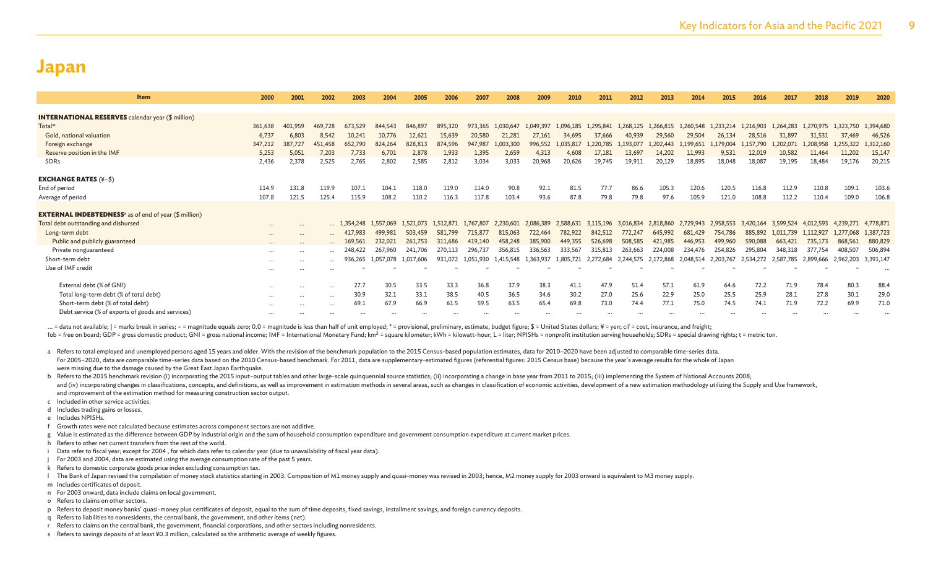|          | 2002                                                                                                                                     | 2003                                                                                                         | 2004                       | 2005                        | 2006                                     | 2007           | 2008                        | 2009          | 2010         | 2011         | 2012                      | 2013                      | 2014                                    | 2015                                     | 2016                                     | 2017                                     | 2018                        | 2019                                     | 2020                                                                            |
|----------|------------------------------------------------------------------------------------------------------------------------------------------|--------------------------------------------------------------------------------------------------------------|----------------------------|-----------------------------|------------------------------------------|----------------|-----------------------------|---------------|--------------|--------------|---------------------------|---------------------------|-----------------------------------------|------------------------------------------|------------------------------------------|------------------------------------------|-----------------------------|------------------------------------------|---------------------------------------------------------------------------------|
|          |                                                                                                                                          |                                                                                                              |                            |                             |                                          |                |                             |               |              |              |                           |                           |                                         |                                          |                                          |                                          |                             |                                          |                                                                                 |
|          |                                                                                                                                          |                                                                                                              |                            |                             |                                          |                |                             |               |              |              |                           |                           |                                         |                                          |                                          |                                          |                             |                                          |                                                                                 |
|          | 469,728                                                                                                                                  | 673,529                                                                                                      | 844,543                    | 846,897                     | 895,320                                  | 973,365        | 1.030.647                   | 1.049.397     | 1.096.185    | 1.295.841    | 1.268.125                 | L.266.815                 | 1.260.548                               | 1.233.214                                | 1.216.903                                | 1.264.283                                | 1.270.975                   |                                          | 1,394,680                                                                       |
|          | 8.542                                                                                                                                    | 10.241                                                                                                       | 10,776                     | 12,621                      | 15,639                                   | 20,580         | 21,281                      | 27,161        | 34,695       | 37,666       | 40,939                    | 29,560                    | 29,504                                  | 26,134                                   | 28,516                                   | 31,897                                   | 31,531                      | 37,469                                   | 46,526                                                                          |
|          | 451,458                                                                                                                                  | 652,790                                                                                                      | 824,264                    | 828,813                     | 874,596                                  | 947,987        | 1,003,300                   | 996,552       | 1,035,817    | 1.220.785    | 1,193,077                 | 1.202.443                 | 1,199,651                               | 1.179.004                                | 1,157,790                                | 1,202,071                                | 1.208.958                   |                                          | 1,312,160                                                                       |
|          | 7,203                                                                                                                                    | 7,733                                                                                                        | 6,701                      | 2,878                       | 1,933                                    | 1,395          | 2,659                       | 4,313         | 4,608        | 17,181       | 13,697                    | 14.202                    | 11,993                                  | 9,531                                    | 12,019                                   | 10,582                                   | 11,464                      | 11,202                                   | 15,147                                                                          |
|          | 2,525                                                                                                                                    | 2,765                                                                                                        | 2,802                      | 2,585                       | 2,812                                    | 3,034          | 3,033                       | 20,968        | 20,626       | 19,745       | 19,911                    | 20,129                    | 18,895                                  | 18,048                                   | 18,087                                   | 19,195                                   | 18,484                      | 19,176                                   | 20,215                                                                          |
|          |                                                                                                                                          |                                                                                                              |                            |                             |                                          |                |                             |               |              |              |                           |                           |                                         |                                          |                                          |                                          |                             |                                          |                                                                                 |
|          |                                                                                                                                          |                                                                                                              |                            |                             |                                          |                |                             |               |              |              |                           |                           |                                         |                                          |                                          |                                          |                             |                                          |                                                                                 |
|          |                                                                                                                                          |                                                                                                              |                            |                             |                                          |                |                             |               |              |              |                           |                           |                                         |                                          |                                          |                                          |                             |                                          | 103.6                                                                           |
|          |                                                                                                                                          |                                                                                                              |                            |                             |                                          |                |                             |               |              |              |                           |                           |                                         |                                          |                                          |                                          |                             |                                          | 106.8                                                                           |
|          |                                                                                                                                          |                                                                                                              |                            |                             |                                          |                |                             |               |              |              |                           |                           |                                         |                                          |                                          |                                          |                             |                                          |                                                                                 |
| $\cdots$ |                                                                                                                                          | 1.354.248                                                                                                    |                            |                             | 1.512.871                                |                | 2.230,601                   | 2.086.389     | 2.588.631    |              |                           |                           |                                         |                                          |                                          |                                          |                             |                                          | 4,778,871                                                                       |
| $\cdots$ | $\cdots$                                                                                                                                 | 417,983                                                                                                      | 499,981                    | 503,459                     | 581,799                                  | 715,877        | 815,063                     | 722,464       | 782,922      | 842,512      | 772,247                   | 645,992                   | 681,429                                 | 754,786                                  | 885,892                                  | 1,011,739                                | 1,112,927                   |                                          | 1,387,723                                                                       |
|          | $\ddotsc$                                                                                                                                | 169 561                                                                                                      | 232,021                    | 261,753                     | 311,686                                  | 419,140        | 458,248                     | 385,900       | 449,355      | 526,698      | 508,585                   | 421,985                   | 446,953                                 | 499,960                                  | 590,088                                  | 663,421                                  | 735,173                     | 868,561                                  | 880,829                                                                         |
| $\cdots$ | $\cdots$                                                                                                                                 | 248,422                                                                                                      | 267,960                    | 241.706                     | 270,113                                  | 296,737        | 356,815                     | 336,563       | 333,567      | 315,813      | 263,663                   | 224,008                   | 234,476                                 | 254,826                                  | 295,804                                  | 348,318                                  | 377,754                     | 408,507                                  | 506,894                                                                         |
| $\cdots$ |                                                                                                                                          | 936.265                                                                                                      | 1.057.078                  |                             | 931,072                                  | 1.051.930      | 1,415,548                   | 1.363.937     | 1.805.721    | 2.272.684    | 2.244.575                 |                           |                                         |                                          |                                          | 2,587,785                                |                             |                                          | 3,391,147                                                                       |
| $\cdots$ | $\cdots$                                                                                                                                 |                                                                                                              |                            |                             |                                          |                |                             |               |              |              |                           |                           |                                         |                                          |                                          |                                          |                             |                                          |                                                                                 |
|          |                                                                                                                                          |                                                                                                              |                            |                             |                                          |                |                             |               |              |              |                           |                           |                                         |                                          |                                          |                                          |                             |                                          |                                                                                 |
| $\cdots$ | $\cdots$                                                                                                                                 | 27.7                                                                                                         | 30.5                       | 33.5                        | 33.3                                     | 36.8           | 37.9                        | 38.3          | 41.1         | 47.9         | 51.4                      | 57.1                      | 61.9                                    | 64.6                                     | 72.2                                     | 71.9                                     | 78.4                        | 80.3                                     | 88.4                                                                            |
| $\cdots$ | $\cdots$                                                                                                                                 | 30.9                                                                                                         | 32.1                       | 33.1                        | 38.5                                     | 40.5           | 36.5                        | 34.6          | 30.2         | 27.0         | 25.6                      | 22.9                      | 25.0                                    | 25.5                                     | 25.9                                     | 28.1                                     | 27.8                        | 30.1                                     | 29.0                                                                            |
| $\cdots$ | $\cdots$                                                                                                                                 | 69.1                                                                                                         | 67.9                       | 66.9                        | 61.5                                     | 59.5           | 63.5                        | 65.4          | 69.8         | 73.0         | 74.4                      | 77.1                      | 75.0                                    | 74.5                                     | 74.1                                     | 71.9                                     | 72.2                        | 69.9                                     | 71.0                                                                            |
| $\cdots$ |                                                                                                                                          |                                                                                                              |                            |                             |                                          |                |                             |               |              |              |                           |                           |                                         |                                          |                                          |                                          |                             |                                          |                                                                                 |
|          | 2000<br>361,638<br>6,737<br>387,727<br>347,212<br>5,253<br>5,051<br>2,436<br>114.9<br>107.8<br>121.5<br>$\cdots$<br><br><br>$\cdots$<br> | 2001<br>401,959<br>6,803<br>2,378<br>131.8<br>119.9<br>125.4<br>$\cdots$<br>$\cdots$<br>$\cdots$<br>$\cdots$ | 107.1<br>115.9<br>$\cdots$ | 104.1<br>108.2<br>1.557.069 | 118.0<br>110.2<br>1.521.073<br>1,017,606 | 119.0<br>116.3 | 114.0<br>117.8<br>1.767.807 | 90.8<br>103.4 | 92.1<br>93.6 | 81.5<br>87.8 | 77.7<br>79.8<br>3,115,196 | 86.6<br>79.8<br>3,016,834 | 105.3<br>97.6<br>2.818,860<br>2.172.868 | 120.6<br>105.9<br>2.729.943<br>2.048.514 | 120.5<br>121.0<br>2.958.553<br>2,203,767 | 116.8<br>108.8<br>3.420.164<br>2,534,272 | 112.9<br>112.2<br>3.599.524 | 110.8<br>110.4<br>4.012.593<br>2.899.666 | 1,323,750<br>1,255,322<br>109.1<br>109.0<br>4.239.271<br>1,277,068<br>2,962,203 |

... = data not available; | = marks break in series; - = magnitude equals zero; 0.0 = magnitude is less than half of unit employed; \* = provisional, preliminary, estimate, budget figure; \$ = United States dollars; ¥ = yen; fob = free on board: GDP = gross domestic product: GNI = gross national income; IMF = International Monetary Fund; km<sup>2</sup> = square kilometer; kWh = kilowatt-hour; L = liter; NPISHs = nonprofit institution serving households

- a Refers to total employed and unemployed persons aged 15 years and older. With the revision of the benchmark population to the 2015 Census-based population estimates, data for 2010-2020 have been adjusted to comparable ti For 2005-2020, data are comparable time-series data based on the 2010 Census-based benchmark. For 2011, data are supplementary-estimated figures (referential figures; 2015 Census base) because the year's average results fo were missing due to the damage caused by the Great East Japan Earthquake.
- b Refers to the 2015 benchmark revision (i) incorporating the 2015 input-output tables and other large-scale quinquennial source statistics; (ii) incorporating a change in base year from 2011 to 2015; (iii) implementing th and (iv) incorporating changes in classifications, concepts, and definitions, as well as improvement in estimation methods in several areas, such as changes in classification of economic activities, development of a new es and improvement of the estimation method for measuring construction sector output.
- c Included in other service activities.
- d Includes trading gains or losses.
- e Includes NPISHs.
- f Growth rates were not calculated because estimates across component sectors are not additive.
- g Value is estimated as the difference between GDP by industrial origin and the sum of household consumption expenditure and government consumption expenditure at current market prices.
- h Refers to other net current transfers from the rest of the world.
- i Data refer to fiscal year; except for 2004 , for which data refer to calendar year (due to unavailability of fiscal year data).
- For 2003 and 2004, data are estimated using the average consumption rate of the past 5 years.
- k Refers to domestic corporate goods price index excluding consumption tax.
- The Bank of Japan revised the compilation of money stock statistics starting in 2003. Composition of M1 money supply and quasi-money was revised in 2003; hence, M2 money supply for 2003 onward is equivalent to M3 money sup
- m Includes certificates of deposit.
- n For 2003 onward, data include claims on local government.
- o Refers to claims on other sectors.
- p Refers to deposit money banks' quasi-money plus certificates of deposit, equal to the sum of time deposits, fixed savings, installment savings, and foreign currency deposits.
- q Refers to liabilities to nonresidents, the central bank, the government, and other items (net).
- r Refers to claims on the central bank, the government, financial corporations, and other sectors including nonresidents.
- s Refers to savings deposits of at least ¥0.3 million, calculated as the arithmetic average of weekly figures.